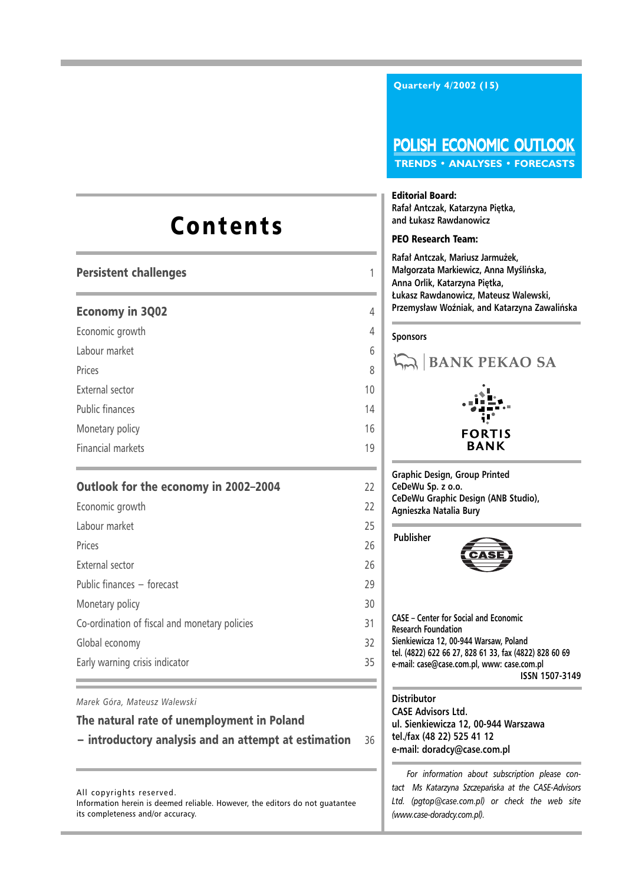## Contents

## Persistent challenges 1

## Economy in 3Q02 4

Economic growth 4

Labour market 6

Prices 8 and 2012 and 2012 and 2012 and 2012 and 2012 and 2012 and 2012 and 2012 and 2012 and 2012 and 2012 and 2012

External sector 10

Public finances and the set of the set of the set of the set of the set of the set of the set of the set of the set of the set of the set of the set of the set of the set of the set of the set of the set of the set of the

Monetary policy 16

Financial markets 19

## Outlook for the economy in 2002–2004 22

| Economic growth                               | 22 |
|-----------------------------------------------|----|
| Labour market                                 | 25 |
| Prices                                        | 26 |
| External sector                               | 26 |
| Public finances - forecast                    | 29 |
| Monetary policy                               | 30 |
| Co-ordination of fiscal and monetary policies | 31 |
| Global economy                                | 32 |
| Early warning crisis indicator                | 35 |
|                                               |    |

*Marek Góra, Mateusz Walewski*

## The natural rate of unemployment in Poland

− introductory analysis and an attempt at estimation 36

All copyrights reserved. Information herein is deemed reliable. However, the editors do not guatantee its completeness and/or accuracy.

**Quarterly 4/2002 (15)**

## **POLISH ECONOMIC OUTLOOK TRENDS • ANALYSES • FORECASTS**

#### Editorial Board:

**Rafał Antczak, Katarzyna Piętka, and £ukasz Rawdanowicz**

#### PEO Research Team:

**Rafa³ Antczak, Mariusz Jarmu¿ek, Małgorzata Markiewicz, Anna Myślińska, Anna Orlik, Katarzyna Piêtka, £ukasz Rawdanowicz, Mateusz Walewski, Przemysław Woźniak, and Katarzyna Zawalińska** 

## **Sponsors**



**Graphic Design, Group Printed CeDeWu Sp. z o.o. CeDeWu Graphic Design (ANB Studio), Agnieszka Natalia Bury**

**Publisher**



**CASE – Center for Social and Economic Research Foundation Sienkiewicza 12, 00-944 Warsaw, Poland tel. (4822) 622 66 27, 828 61 33, fax (4822) 828 60 69 e-mail: case@case.com.pl, www: case.com.pl ISSN 1507-3149**

#### **Distributor CASE Advisors Ltd.**

**ul. Sienkiewicza 12, 00-944 Warszawa tel./fax (48 22) 525 41 12 e-mail: doradcy@case.com.pl**

*For information about subscription please contact Ms Katarzyna Szczepañska at the CASE-Advisors Ltd. (pgtop@case.com.pl) or check the web site (www.case-doradcy.com.pl).*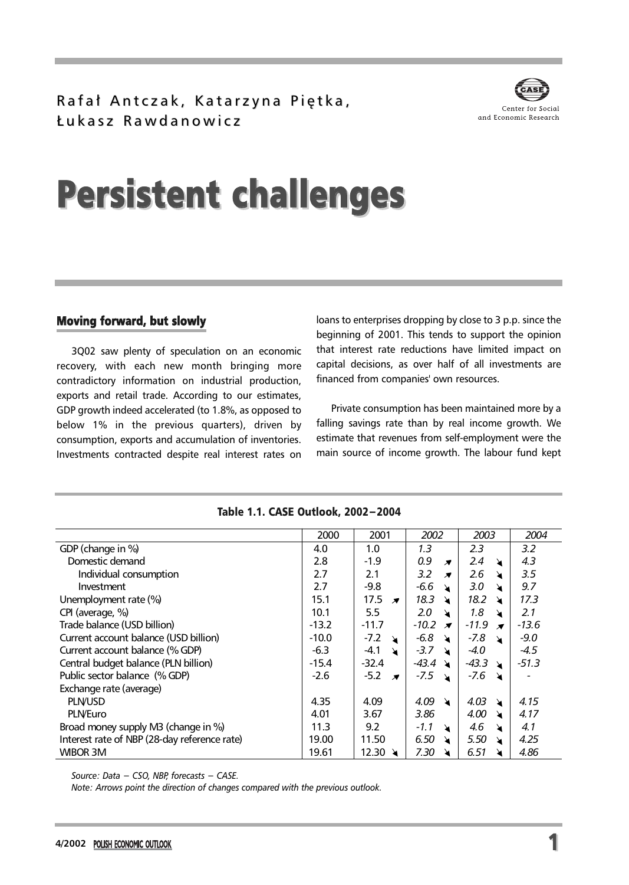Rafał Antczak, Katarzyna Piętka, £ukasz Rawdanowicz £ukasz Rawdanowicz



# Persistent challenges

## Moving forward, but slowly

3Q02 saw plenty of speculation on an economic recovery, with each new month bringing more contradictory information on industrial production, exports and retail trade. According to our estimates, GDP growth indeed accelerated (to 1.8%, as opposed to below 1% in the previous quarters), driven by consumption, exports and accumulation of inventories. Investments contracted despite real interest rates on loans to enterprises dropping by close to 3 p.p. since the beginning of 2001. This tends to support the opinion that interest rate reductions have limited impact on capital decisions, as over half of all investments are financed from companies' own resources.

Private consumption has been maintained more by a falling savings rate than by real income growth. We estimate that revenues from self-employment were the main source of income growth. The labour fund kept

|                                              | 2000    | 2001                                  | 2002                               | 2003                               | 2004    |
|----------------------------------------------|---------|---------------------------------------|------------------------------------|------------------------------------|---------|
| GDP (change in %)                            | 4.0     | 1.0                                   | 1.3                                | 2.3                                | 3.2     |
| Domestic demand                              | 2.8     | $-1.9$                                | 0.9<br>$\overline{\boldsymbol{X}}$ | 2.4<br>$\lambda$                   | 4.3     |
| Individual consumption                       | 2.7     | 2.1                                   | 3.2<br>$\overline{\boldsymbol{X}}$ | 2.6<br>↘                           | 3.5     |
| Investment                                   | 2.7     | $-9.8$                                | $-6.6$<br>$\lambda$                | 3.0<br>↘                           | 9.7     |
| Unemployment rate (%)                        | 15.1    | 17.5<br>$\overline{\mathbf{x}}$       | 18.3<br>ੇਖ                         | 18.2<br>$\blacktriangleright$      | 17.3    |
| CPI (average, %)                             | 10.1    | 5.5                                   | 2.0<br>$\lambda$                   | 1.8<br>$\lambda$                   | 2.1     |
| Trade balance (USD billion)                  | $-13.2$ | $-11.7$                               | $-10.2 \times$                     | $-11.9$<br>$\overline{\mathbf{x}}$ | $-13.6$ |
| Current account balance (USD billion)        | $-10.0$ | $-7.2$<br>$\mathbf{v}$                | -6.8<br>$\lambda$                  | -7.8<br>$\blacktriangleright$      | $-9.0$  |
| Current account balance (% GDP)              | $-6.3$  | $-4.1$<br>$\lambda$                   | $-3.7$<br>$\lambda$                | -4.0                               | $-4.5$  |
| Central budget balance (PLN billion)         | $-15.4$ | $-32.4$                               | $-43.4 \times$                     | $-43.3$<br>$\lambda$               | $-51.3$ |
| Public sector balance (% GDP)                | $-2.6$  | $-5.2$<br>$\overline{\boldsymbol{z}}$ | -7.5<br>्र\                        | $-7.6$<br>↘                        |         |
| Exchange rate (average)                      |         |                                       |                                    |                                    |         |
| <b>PLN/USD</b>                               | 4.35    | 4.09                                  | 4.09<br>$\lambda$                  | 4.03<br>$\blacktriangleright$      | 4.15    |
| <b>PLN/Euro</b>                              | 4.01    | 3.67                                  | 3.86                               | 4.00<br>↘                          | 4.17    |
| Broad money supply M3 (change in %)          | 11.3    | 9.2                                   | $-1.1$<br>$\lambda$                | 4.6<br>↘                           | 4.1     |
| Interest rate of NBP (28-day reference rate) | 19.00   | 11.50                                 | 6.50<br>↘                          | 5.50<br>↘                          | 4.25    |
| WIBOR 3M                                     | 19.61   | 12.30 $\lambda$                       | 7.30                               | 6.51                               | 4.86    |

#### Table 1.1. CASE Outlook, 2002−2004

*Source: Data − CSO, NBP, forecasts − CASE.*

*Note: Arrows point the direction of changes compared with the previous outlook.*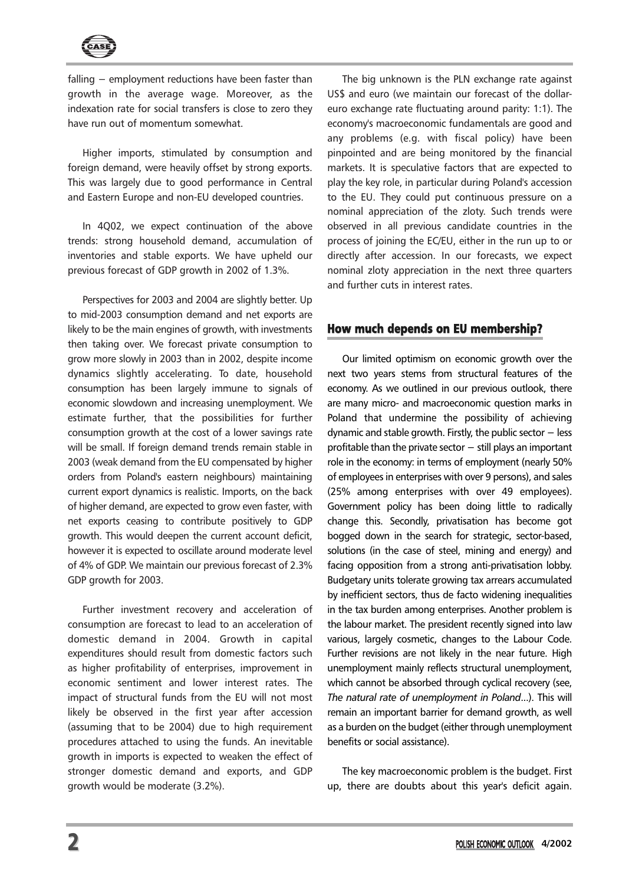

falling − employment reductions have been faster than growth in the average wage. Moreover, as the indexation rate for social transfers is close to zero they have run out of momentum somewhat.

Higher imports, stimulated by consumption and foreign demand, were heavily offset by strong exports. This was largely due to good performance in Central and Eastern Europe and non-EU developed countries.

In 4Q02, we expect continuation of the above trends: strong household demand, accumulation of inventories and stable exports. We have upheld our previous forecast of GDP growth in 2002 of 1.3%.

Perspectives for 2003 and 2004 are slightly better. Up to mid-2003 consumption demand and net exports are likely to be the main engines of growth, with investments then taking over. We forecast private consumption to grow more slowly in 2003 than in 2002, despite income dynamics slightly accelerating. To date, household consumption has been largely immune to signals of economic slowdown and increasing unemployment. We estimate further, that the possibilities for further consumption growth at the cost of a lower savings rate will be small. If foreign demand trends remain stable in 2003 (weak demand from the EU compensated by higher orders from Poland's eastern neighbours) maintaining current export dynamics is realistic. Imports, on the back of higher demand, are expected to grow even faster, with net exports ceasing to contribute positively to GDP growth. This would deepen the current account deficit, however it is expected to oscillate around moderate level of 4% of GDP. We maintain our previous forecast of 2.3% GDP growth for 2003.

Further investment recovery and acceleration of consumption are forecast to lead to an acceleration of domestic demand in 2004. Growth in capital expenditures should result from domestic factors such as higher profitability of enterprises, improvement in economic sentiment and lower interest rates. The impact of structural funds from the EU will not most likely be observed in the first year after accession (assuming that to be 2004) due to high requirement procedures attached to using the funds. An inevitable growth in imports is expected to weaken the effect of stronger domestic demand and exports, and GDP growth would be moderate (3.2%).

The big unknown is the PLN exchange rate against US\$ and euro (we maintain our forecast of the dollareuro exchange rate fluctuating around parity: 1:1). The economy's macroeconomic fundamentals are good and any problems (e.g. with fiscal policy) have been pinpointed and are being monitored by the financial markets. It is speculative factors that are expected to play the key role, in particular during Poland's accession to the EU. They could put continuous pressure on a nominal appreciation of the zloty. Such trends were observed in all previous candidate countries in the process of joining the EC/EU, either in the run up to or directly after accession. In our forecasts, we expect nominal zloty appreciation in the next three quarters and further cuts in interest rates.

## How much depends on EU membership?

Our limited optimism on economic growth over the next two years stems from structural features of the economy. As we outlined in our previous outlook, there are many micro- and macroeconomic question marks in Poland that undermine the possibility of achieving dynamic and stable growth. Firstly, the public sector − less profitable than the private sector − still plays an important role in the economy: in terms of employment (nearly 50% of employees in enterprises with over 9 persons), and sales (25% among enterprises with over 49 employees). Government policy has been doing little to radically change this. Secondly, privatisation has become got bogged down in the search for strategic, sector-based, solutions (in the case of steel, mining and energy) and facing opposition from a strong anti-privatisation lobby. Budgetary units tolerate growing tax arrears accumulated by inefficient sectors, thus de facto widening inequalities in the tax burden among enterprises. Another problem is the labour market. The president recently signed into law various, largely cosmetic, changes to the Labour Code. Further revisions are not likely in the near future. High unemployment mainly reflects structural unemployment, which cannot be absorbed through cyclical recovery (see, *The natural rate of unemployment in Poland*...). This will remain an important barrier for demand growth, as well as a burden on the budget (either through unemployment benefits or social assistance).

The key macroeconomic problem is the budget. First up, there are doubts about this year's deficit again.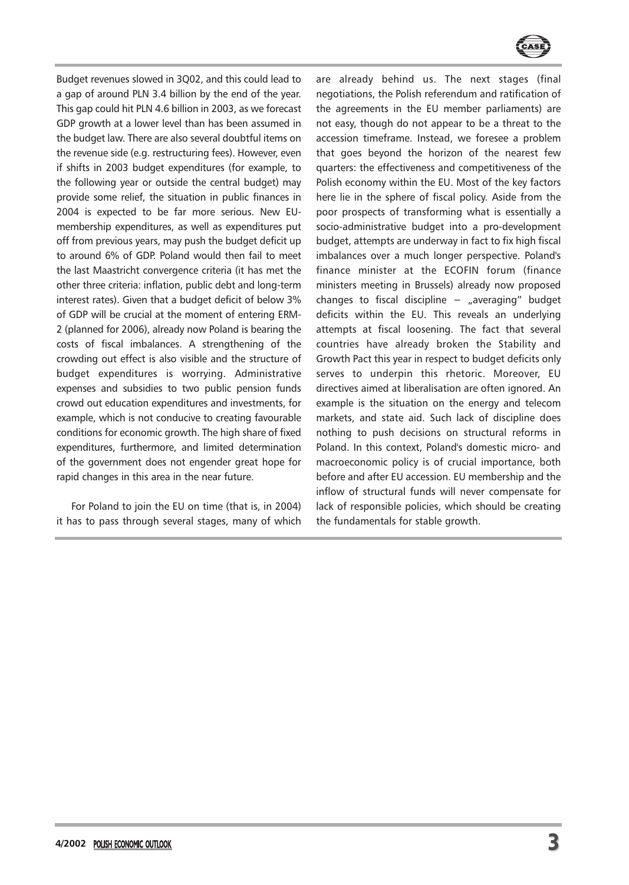

Budget revenues slowed in 3Q02, and this could lead to a gap of around PLN 3.4 billion by the end of the year. This gap could hit PLN 4.6 billion in 2003, as we forecast GDP growth at a lower level than has been assumed in the budget law. There are also several doubtful items on the revenue side (e.g. restructuring fees). However, even if shifts in 2003 budget expenditures (for example, to the following year or outside the central budget) may provide some relief, the situation in public finances in 2004 is expected to be far more serious. New EUmembership expenditures, as well as expenditures put off from previous years, may push the budget deficit up to around 6% of GDP. Poland would then fail to meet the last Maastricht convergence criteria (it has met the other three criteria: inflation, public debt and long-term interest rates). Given that a budget deficit of below 3% of GDP will be crucial at the moment of entering ERM-2 (planned for 2006), already now Poland is bearing the costs of fiscal imbalances. A strengthening of the crowding out effect is also visible and the structure of budget expenditures is worrying. Administrative expenses and subsidies to two public pension funds crowd out education expenditures and investments, for example, which is not conducive to creating favourable conditions for economic growth. The high share of fixed expenditures, furthermore, and limited determination of the government does not engender great hope for rapid changes in this area in the near future.

For Poland to join the EU on time (that is, in 2004) it has to pass through several stages, many of which are already behind us. The next stages (final negotiations, the Polish referendum and ratification of the agreements in the EU member parliaments) are not easy, though do not appear to be a threat to the accession timeframe. Instead, we foresee a problem that goes beyond the horizon of the nearest few quarters: the effectiveness and competitiveness of the Polish economy within the EU. Most of the key factors here lie in the sphere of fiscal policy. Aside from the poor prospects of transforming what is essentially a socio-administrative budget into a pro-development budget, attempts are underway in fact to fix high fiscal imbalances over a much longer perspective. Poland's finance minister at the ECOFIN forum (finance ministers meeting in Brussels) already now proposed changes to fiscal discipline − "averaging" budget deficits within the EU. This reveals an underlying attempts at fiscal loosening. The fact that several countries have already broken the Stability and Growth Pact this year in respect to budget deficits only serves to underpin this rhetoric. Moreover, EU directives aimed at liberalisation are often ignored. An example is the situation on the energy and telecom markets, and state aid. Such lack of discipline does nothing to push decisions on structural reforms in Poland. In this context, Poland's domestic micro- and macroeconomic policy is of crucial importance, both before and after EU accession. EU membership and the inflow of structural funds will never compensate for lack of responsible policies, which should be creating the fundamentals for stable growth.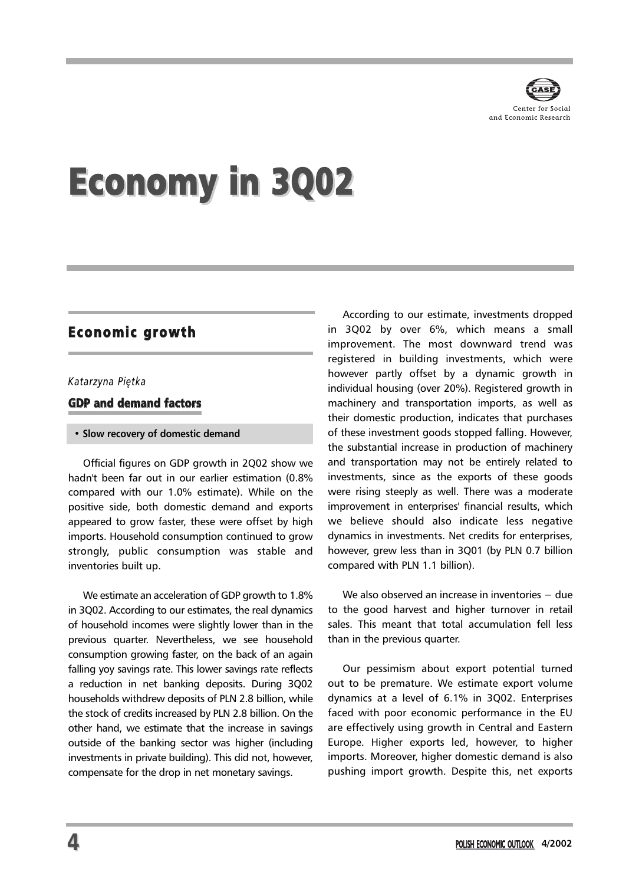

# Economy in 3Q02

## Economic growth

#### *Katarzyna Piêtka*

GDP and demand factors

#### **• Slow recovery of domestic demand**

Official figures on GDP growth in 2Q02 show we hadn't been far out in our earlier estimation (0.8% compared with our 1.0% estimate). While on the positive side, both domestic demand and exports appeared to grow faster, these were offset by high imports. Household consumption continued to grow strongly, public consumption was stable and inventories built up.

We estimate an acceleration of GDP growth to 1.8% in 3Q02. According to our estimates, the real dynamics of household incomes were slightly lower than in the previous quarter. Nevertheless, we see household consumption growing faster, on the back of an again falling yoy savings rate. This lower savings rate reflects a reduction in net banking deposits. During 3Q02 households withdrew deposits of PLN 2.8 billion, while the stock of credits increased by PLN 2.8 billion. On the other hand, we estimate that the increase in savings outside of the banking sector was higher (including investments in private building). This did not, however, compensate for the drop in net monetary savings.

According to our estimate, investments dropped in 3Q02 by over 6%, which means a small improvement. The most downward trend was registered in building investments, which were however partly offset by a dynamic growth in individual housing (over 20%). Registered growth in machinery and transportation imports, as well as their domestic production, indicates that purchases of these investment goods stopped falling. However, the substantial increase in production of machinery and transportation may not be entirely related to investments, since as the exports of these goods were rising steeply as well. There was a moderate improvement in enterprises' financial results, which we believe should also indicate less negative dynamics in investments. Net credits for enterprises, however, grew less than in 3Q01 (by PLN 0.7 billion compared with PLN 1.1 billion).

We also observed an increase in inventories − due to the good harvest and higher turnover in retail sales. This meant that total accumulation fell less than in the previous quarter.

Our pessimism about export potential turned out to be premature. We estimate export volume dynamics at a level of 6.1% in 3Q02. Enterprises faced with poor economic performance in the EU are effectively using growth in Central and Eastern Europe. Higher exports led, however, to higher imports. Moreover, higher domestic demand is also pushing import growth. Despite this, net exports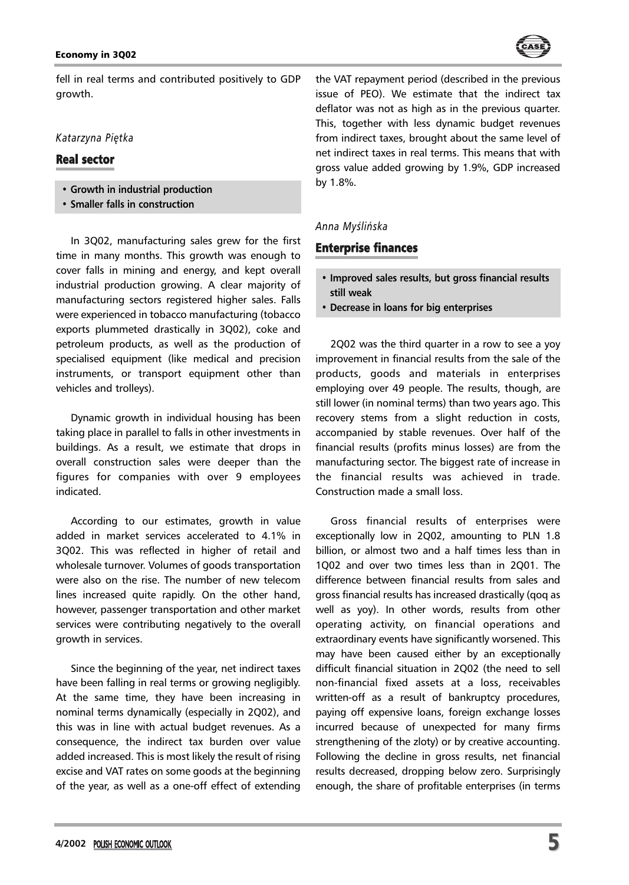#### Economy in 3Q02



fell in real terms and contributed positively to GDP growth.

## *Katarzyna Piêtka*

## Real sector

- **Growth in industrial production**
- **Smaller falls in construction**

In 3Q02, manufacturing sales grew for the first time in many months. This growth was enough to cover falls in mining and energy, and kept overall industrial production growing. A clear majority of manufacturing sectors registered higher sales. Falls were experienced in tobacco manufacturing (tobacco exports plummeted drastically in 3Q02), coke and petroleum products, as well as the production of specialised equipment (like medical and precision instruments, or transport equipment other than vehicles and trolleys).

Dynamic growth in individual housing has been taking place in parallel to falls in other investments in buildings. As a result, we estimate that drops in overall construction sales were deeper than the figures for companies with over 9 employees indicated.

According to our estimates, growth in value added in market services accelerated to 4.1% in 3Q02. This was reflected in higher of retail and wholesale turnover. Volumes of goods transportation were also on the rise. The number of new telecom lines increased quite rapidly. On the other hand, however, passenger transportation and other market services were contributing negatively to the overall growth in services.

Since the beginning of the year, net indirect taxes have been falling in real terms or growing negligibly. At the same time, they have been increasing in nominal terms dynamically (especially in 2Q02), and this was in line with actual budget revenues. As a consequence, the indirect tax burden over value added increased. This is most likely the result of rising excise and VAT rates on some goods at the beginning of the year, as well as a one-off effect of extending the VAT repayment period (described in the previous issue of PEO). We estimate that the indirect tax deflator was not as high as in the previous quarter. This, together with less dynamic budget revenues from indirect taxes, brought about the same level of net indirect taxes in real terms. This means that with gross value added growing by 1.9%, GDP increased by 1.8%.

## *Anna Myœliñska*

## Enterprise finances

- **Improved sales results, but gross financial results still weak**
- **Decrease in loans for big enterprises**

2Q02 was the third quarter in a row to see a yoy improvement in financial results from the sale of the products, goods and materials in enterprises employing over 49 people. The results, though, are still lower (in nominal terms) than two years ago. This recovery stems from a slight reduction in costs, accompanied by stable revenues. Over half of the financial results (profits minus losses) are from the manufacturing sector. The biggest rate of increase in the financial results was achieved in trade. Construction made a small loss.

Gross financial results of enterprises were exceptionally low in 2Q02, amounting to PLN 1.8 billion, or almost two and a half times less than in 1Q02 and over two times less than in 2Q01. The difference between financial results from sales and gross financial results has increased drastically (qoq as well as yoy). In other words, results from other operating activity, on financial operations and extraordinary events have significantly worsened. This may have been caused either by an exceptionally difficult financial situation in 2Q02 (the need to sell non-financial fixed assets at a loss, receivables written-off as a result of bankruptcy procedures, paying off expensive loans, foreign exchange losses incurred because of unexpected for many firms strengthening of the zloty) or by creative accounting. Following the decline in gross results, net financial results decreased, dropping below zero. Surprisingly enough, the share of profitable enterprises (in terms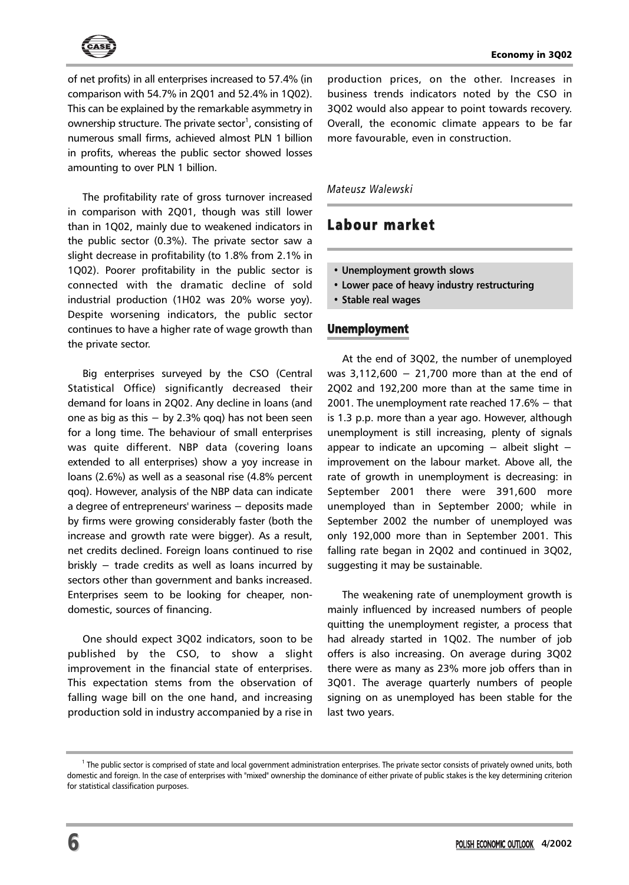

of net profits) in all enterprises increased to 57.4% (in comparison with 54.7% in 2Q01 and 52.4% in 1Q02). This can be explained by the remarkable asymmetry in ownership structure. The private sector<sup>1</sup>, consisting of numerous small firms, achieved almost PLN 1 billion in profits, whereas the public sector showed losses amounting to over PLN 1 billion.

The profitability rate of gross turnover increased in comparison with 2Q01, though was still lower than in 1Q02, mainly due to weakened indicators in the public sector (0.3%). The private sector saw a slight decrease in profitability (to 1.8% from 2.1% in 1Q02). Poorer profitability in the public sector is connected with the dramatic decline of sold industrial production (1H02 was 20% worse yoy). Despite worsening indicators, the public sector continues to have a higher rate of wage growth than the private sector.

Big enterprises surveyed by the CSO (Central Statistical Office) significantly decreased their demand for loans in 2Q02. Any decline in loans (and one as big as this − by 2.3% qoq) has not been seen for a long time. The behaviour of small enterprises was quite different. NBP data (covering loans extended to all enterprises) show a yoy increase in loans (2.6%) as well as a seasonal rise (4.8% percent qoq). However, analysis of the NBP data can indicate a degree of entrepreneurs' wariness − deposits made by firms were growing considerably faster (both the increase and growth rate were bigger). As a result, net credits declined. Foreign loans continued to rise briskly − trade credits as well as loans incurred by sectors other than government and banks increased. Enterprises seem to be looking for cheaper, nondomestic, sources of financing.

One should expect 3Q02 indicators, soon to be published by the CSO, to show a slight improvement in the financial state of enterprises. This expectation stems from the observation of falling wage bill on the one hand, and increasing production sold in industry accompanied by a rise in

production prices, on the other. Increases in business trends indicators noted by the CSO in 3Q02 would also appear to point towards recovery. Overall, the economic climate appears to be far more favourable, even in construction.

#### *Mateusz Walewski*

## Labour market

- **Unemployment growth slows**
- **Lower pace of heavy industry restructuring**
- **Stable real wages**

## Unemployment

At the end of 3Q02, the number of unemployed was 3,112,600 − 21,700 more than at the end of 2Q02 and 192,200 more than at the same time in 2001. The unemployment rate reached 17.6% − that is 1.3 p.p. more than a year ago. However, although unemployment is still increasing, plenty of signals appear to indicate an upcoming − albeit slight − improvement on the labour market. Above all, the rate of growth in unemployment is decreasing: in September 2001 there were 391,600 more unemployed than in September 2000; while in September 2002 the number of unemployed was only 192,000 more than in September 2001. This falling rate began in 2Q02 and continued in 3Q02, suggesting it may be sustainable.

The weakening rate of unemployment growth is mainly influenced by increased numbers of people quitting the unemployment register, a process that had already started in 1Q02. The number of job offers is also increasing. On average during 3Q02 there were as many as 23% more job offers than in 3Q01. The average quarterly numbers of people signing on as unemployed has been stable for the last two years.

<sup>&</sup>lt;sup>1</sup> The public sector is comprised of state and local government administration enterprises. The private sector consists of privately owned units, both domestic and foreign. In the case of enterprises with "mixed" ownership the dominance of either private of public stakes is the key determining criterion for statistical classification purposes.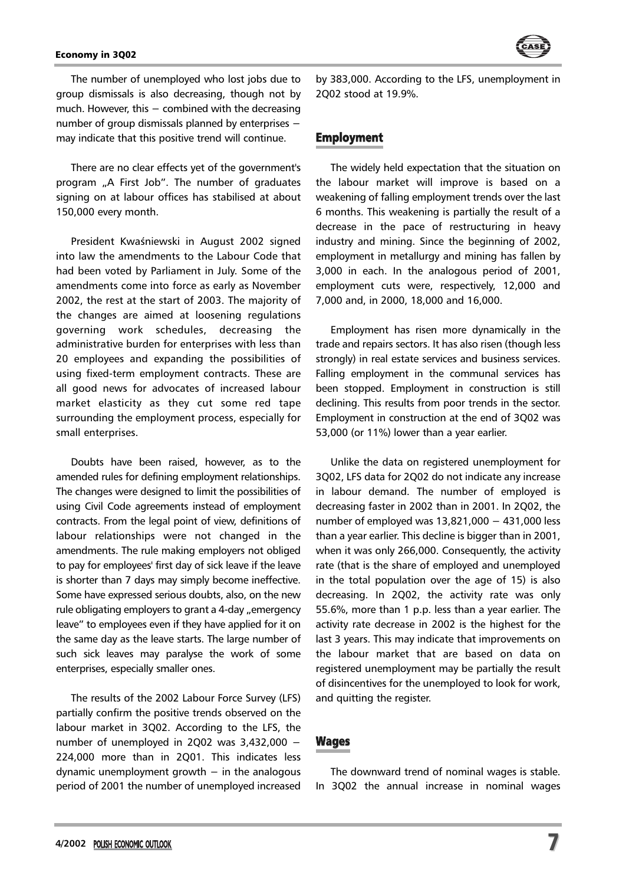

The number of unemployed who lost jobs due to group dismissals is also decreasing, though not by much. However, this − combined with the decreasing number of group dismissals planned by enterprises − may indicate that this positive trend will continue.

There are no clear effects yet of the government's program "A First Job". The number of graduates signing on at labour offices has stabilised at about 150,000 every month.

President Kwaśniewski in August 2002 signed into law the amendments to the Labour Code that had been voted by Parliament in July. Some of the amendments come into force as early as November 2002, the rest at the start of 2003. The majority of the changes are aimed at loosening regulations governing work schedules, decreasing the administrative burden for enterprises with less than 20 employees and expanding the possibilities of using fixed-term employment contracts. These are all good news for advocates of increased labour market elasticity as they cut some red tape surrounding the employment process, especially for small enterprises.

Doubts have been raised, however, as to the amended rules for defining employment relationships. The changes were designed to limit the possibilities of using Civil Code agreements instead of employment contracts. From the legal point of view, definitions of labour relationships were not changed in the amendments. The rule making employers not obliged to pay for employees' first day of sick leave if the leave is shorter than 7 days may simply become ineffective. Some have expressed serious doubts, also, on the new rule obligating employers to grant a 4-day "emergency leave" to employees even if they have applied for it on the same day as the leave starts. The large number of such sick leaves may paralyse the work of some enterprises, especially smaller ones.

The results of the 2002 Labour Force Survey (LFS) partially confirm the positive trends observed on the labour market in 3Q02. According to the LFS, the number of unemployed in 2Q02 was 3,432,000 − 224,000 more than in 2Q01. This indicates less dynamic unemployment growth  $-$  in the analogous period of 2001 the number of unemployed increased by 383,000. According to the LFS, unemployment in 2Q02 stood at 19.9%.

## Employment

The widely held expectation that the situation on the labour market will improve is based on a weakening of falling employment trends over the last 6 months. This weakening is partially the result of a decrease in the pace of restructuring in heavy industry and mining. Since the beginning of 2002, employment in metallurgy and mining has fallen by 3,000 in each. In the analogous period of 2001, employment cuts were, respectively, 12,000 and 7,000 and, in 2000, 18,000 and 16,000.

Employment has risen more dynamically in the trade and repairs sectors. It has also risen (though less strongly) in real estate services and business services. Falling employment in the communal services has been stopped. Employment in construction is still declining. This results from poor trends in the sector. Employment in construction at the end of 3Q02 was 53,000 (or 11%) lower than a year earlier.

Unlike the data on registered unemployment for 3Q02, LFS data for 2Q02 do not indicate any increase in labour demand. The number of employed is decreasing faster in 2002 than in 2001. In 2Q02, the number of employed was 13,821,000 − 431,000 less than a year earlier. This decline is bigger than in 2001, when it was only 266,000. Consequently, the activity rate (that is the share of employed and unemployed in the total population over the age of 15) is also decreasing. In 2Q02, the activity rate was only 55.6%, more than 1 p.p. less than a year earlier. The activity rate decrease in 2002 is the highest for the last 3 years. This may indicate that improvements on the labour market that are based on data on registered unemployment may be partially the result of disincentives for the unemployed to look for work, and quitting the register.

## Wages

The downward trend of nominal wages is stable. In 3Q02 the annual increase in nominal wages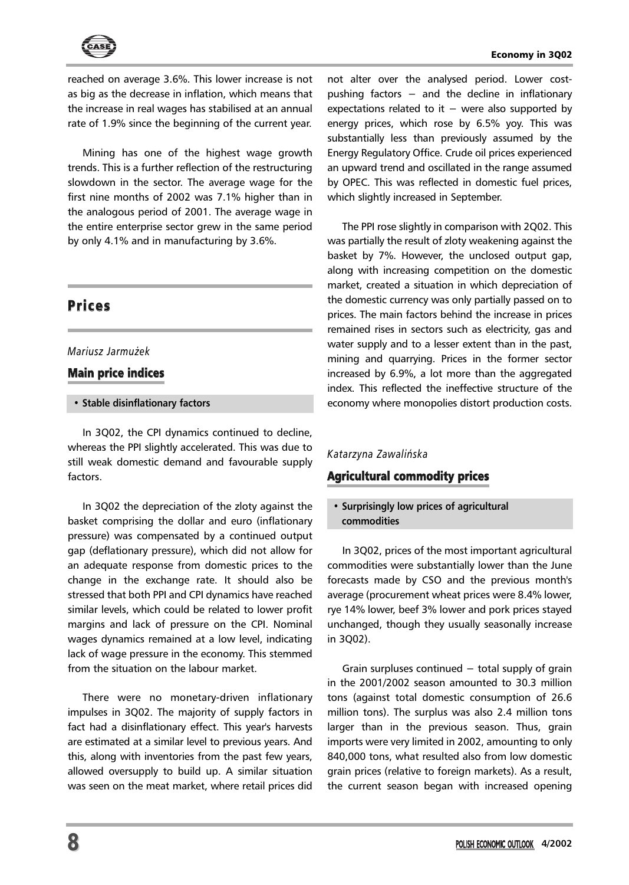

reached on average 3.6%. This lower increase is not as big as the decrease in inflation, which means that the increase in real wages has stabilised at an annual rate of 1.9% since the beginning of the current year.

Mining has one of the highest wage growth trends. This is a further reflection of the restructuring slowdown in the sector. The average wage for the first nine months of 2002 was 7.1% higher than in the analogous period of 2001. The average wage in the entire enterprise sector grew in the same period by only 4.1% and in manufacturing by 3.6%.

## **Prices**

## *Mariusz Jarmu¿ek*

## Main price indices

#### **• Stable disinflationary factors**

In 3Q02, the CPI dynamics continued to decline, whereas the PPI slightly accelerated. This was due to still weak domestic demand and favourable supply factors.

In 3Q02 the depreciation of the zloty against the basket comprising the dollar and euro (inflationary pressure) was compensated by a continued output gap (deflationary pressure), which did not allow for an adequate response from domestic prices to the change in the exchange rate. It should also be stressed that both PPI and CPI dynamics have reached similar levels, which could be related to lower profit margins and lack of pressure on the CPI. Nominal wages dynamics remained at a low level, indicating lack of wage pressure in the economy. This stemmed from the situation on the labour market.

There were no monetary-driven inflationary impulses in 3Q02. The majority of supply factors in fact had a disinflationary effect. This year's harvests are estimated at a similar level to previous years. And this, along with inventories from the past few years, allowed oversupply to build up. A similar situation was seen on the meat market, where retail prices did

not alter over the analysed period. Lower costpushing factors – and the decline in inflationary expectations related to it  $-$  were also supported by energy prices, which rose by 6.5% yoy. This was substantially less than previously assumed by the Energy Regulatory Office. Crude oil prices experienced an upward trend and oscillated in the range assumed by OPEC. This was reflected in domestic fuel prices, which slightly increased in September.

The PPI rose slightly in comparison with 2Q02. This was partially the result of zloty weakening against the basket by 7%. However, the unclosed output gap, along with increasing competition on the domestic market, created a situation in which depreciation of the domestic currency was only partially passed on to prices. The main factors behind the increase in prices remained rises in sectors such as electricity, gas and water supply and to a lesser extent than in the past, mining and quarrying. Prices in the former sector increased by 6.9%, a lot more than the aggregated index. This reflected the ineffective structure of the economy where monopolies distort production costs.

## *Katarzyna Zawaliñska*

## Agricultural commodity prices

## **• Surprisingly low prices of agricultural commodities**

In 3Q02, prices of the most important agricultural commodities were substantially lower than the June forecasts made by CSO and the previous month's average (procurement wheat prices were 8.4% lower, rye 14% lower, beef 3% lower and pork prices stayed unchanged, though they usually seasonally increase in 3Q02).

Grain surpluses continued  $-$  total supply of grain in the 2001/2002 season amounted to 30.3 million tons (against total domestic consumption of 26.6 million tons). The surplus was also 2.4 million tons larger than in the previous season. Thus, grain imports were very limited in 2002, amounting to only 840,000 tons, what resulted also from low domestic grain prices (relative to foreign markets). As a result, the current season began with increased opening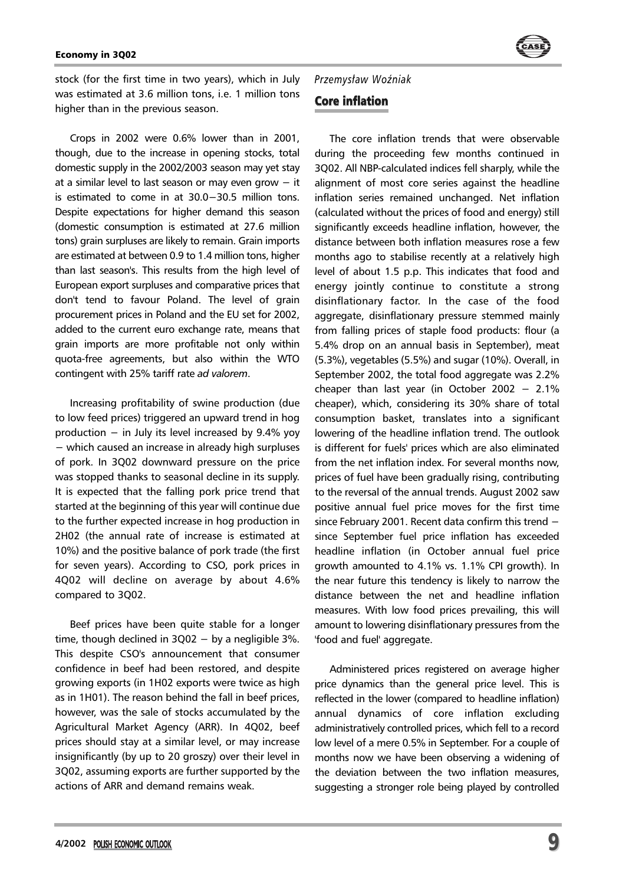

stock (for the first time in two years), which in July was estimated at 3.6 million tons, i.e. 1 million tons higher than in the previous season.

Crops in 2002 were 0.6% lower than in 2001, though, due to the increase in opening stocks, total domestic supply in the 2002/2003 season may yet stay at a similar level to last season or may even grow − it is estimated to come in at 30.0−30.5 million tons. Despite expectations for higher demand this season (domestic consumption is estimated at 27.6 million tons) grain surpluses are likely to remain. Grain imports are estimated at between 0.9 to 1.4 million tons, higher than last season's. This results from the high level of European export surpluses and comparative prices that don't tend to favour Poland. The level of grain procurement prices in Poland and the EU set for 2002, added to the current euro exchange rate, means that grain imports are more profitable not only within quota-free agreements, but also within the WTO contingent with 25% tariff rate *ad valorem*.

Increasing profitability of swine production (due to low feed prices) triggered an upward trend in hog production  $-$  in July its level increased by 9.4% yoy − which caused an increase in already high surpluses of pork. In 3Q02 downward pressure on the price was stopped thanks to seasonal decline in its supply. It is expected that the falling pork price trend that started at the beginning of this year will continue due to the further expected increase in hog production in 2H02 (the annual rate of increase is estimated at 10%) and the positive balance of pork trade (the first for seven years). According to CSO, pork prices in 4Q02 will decline on average by about 4.6% compared to 3Q02.

Beef prices have been quite stable for a longer time, though declined in  $3Q02 - by$  a negligible  $3\%$ . This despite CSO's announcement that consumer confidence in beef had been restored, and despite growing exports (in 1H02 exports were twice as high as in 1H01). The reason behind the fall in beef prices, however, was the sale of stocks accumulated by the Agricultural Market Agency (ARR). In 4Q02, beef prices should stay at a similar level, or may increase insignificantly (by up to 20 groszy) over their level in 3Q02, assuming exports are further supported by the actions of ARR and demand remains weak.

*Przemys³aw WoŸniak*

## Core inflation

The core inflation trends that were observable during the proceeding few months continued in 3Q02. All NBP-calculated indices fell sharply, while the alignment of most core series against the headline inflation series remained unchanged. Net inflation (calculated without the prices of food and energy) still significantly exceeds headline inflation, however, the distance between both inflation measures rose a few months ago to stabilise recently at a relatively high level of about 1.5 p.p. This indicates that food and energy jointly continue to constitute a strong disinflationary factor. In the case of the food aggregate, disinflationary pressure stemmed mainly from falling prices of staple food products: flour (a 5.4% drop on an annual basis in September), meat (5.3%), vegetables (5.5%) and sugar (10%). Overall, in September 2002, the total food aggregate was 2.2% cheaper than last year (in October 2002 − 2.1% cheaper), which, considering its 30% share of total consumption basket, translates into a significant lowering of the headline inflation trend. The outlook is different for fuels' prices which are also eliminated from the net inflation index. For several months now, prices of fuel have been gradually rising, contributing to the reversal of the annual trends. August 2002 saw positive annual fuel price moves for the first time since February 2001. Recent data confirm this trend − since September fuel price inflation has exceeded headline inflation (in October annual fuel price growth amounted to 4.1% vs. 1.1% CPI growth). In the near future this tendency is likely to narrow the distance between the net and headline inflation measures. With low food prices prevailing, this will amount to lowering disinflationary pressures from the 'food and fuel' aggregate.

Administered prices registered on average higher price dynamics than the general price level. This is reflected in the lower (compared to headline inflation) annual dynamics of core inflation excluding administratively controlled prices, which fell to a record low level of a mere 0.5% in September. For a couple of months now we have been observing a widening of the deviation between the two inflation measures, suggesting a stronger role being played by controlled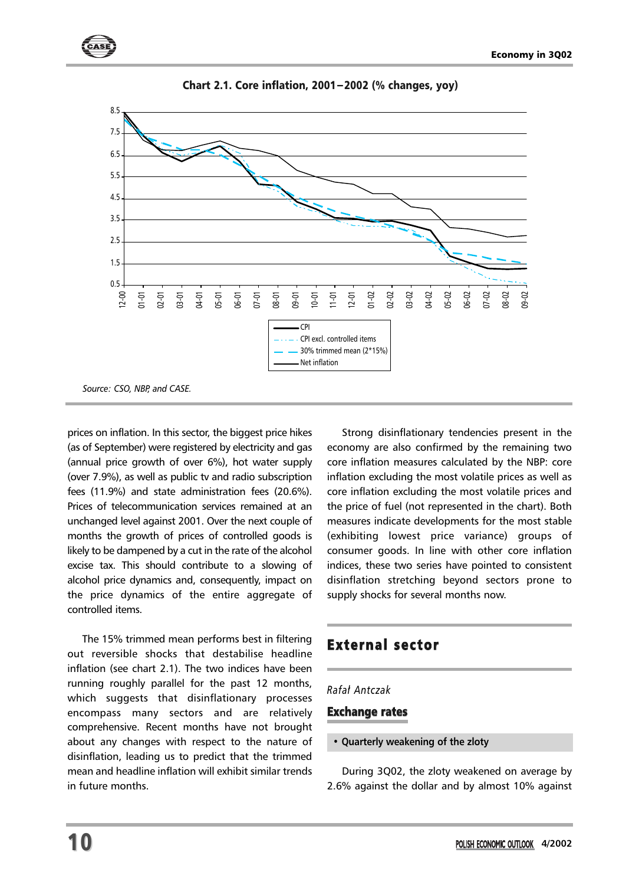

Chart 2.1. Core inflation, 2001−2002 (% changes, yoy)

prices on inflation. In this sector, the biggest price hikes (as of September) were registered by electricity and gas (annual price growth of over 6%), hot water supply (over 7.9%), as well as public tv and radio subscription fees (11.9%) and state administration fees (20.6%). Prices of telecommunication services remained at an unchanged level against 2001. Over the next couple of months the growth of prices of controlled goods is likely to be dampened by a cut in the rate of the alcohol excise tax. This should contribute to a slowing of alcohol price dynamics and, consequently, impact on the price dynamics of the entire aggregate of controlled items.

The 15% trimmed mean performs best in filtering out reversible shocks that destabilise headline inflation (see chart 2.1). The two indices have been running roughly parallel for the past 12 months, which suggests that disinflationary processes encompass many sectors and are relatively comprehensive. Recent months have not brought about any changes with respect to the nature of disinflation, leading us to predict that the trimmed mean and headline inflation will exhibit similar trends in future months.

Strong disinflationary tendencies present in the economy are also confirmed by the remaining two core inflation measures calculated by the NBP: core inflation excluding the most volatile prices as well as core inflation excluding the most volatile prices and the price of fuel (not represented in the chart). Both measures indicate developments for the most stable (exhibiting lowest price variance) groups of consumer goods. In line with other core inflation indices, these two series have pointed to consistent disinflation stretching beyond sectors prone to supply shocks for several months now.

## External sector

## *Rafa³ Antczak*

## Exchange rates

#### **• Quarterly weakening of the zloty**

During 3Q02, the zloty weakened on average by 2.6% against the dollar and by almost 10% against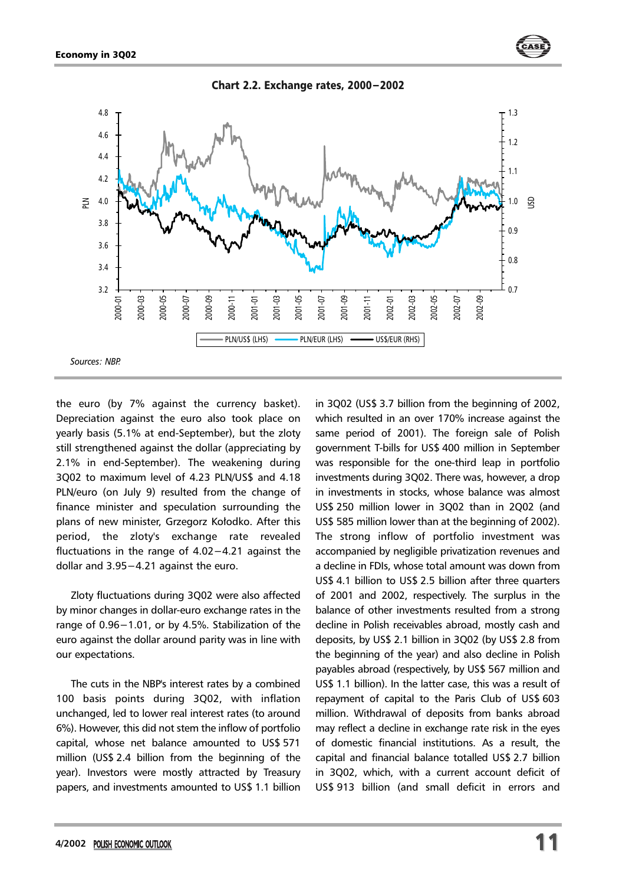

the euro (by 7% against the currency basket). Depreciation against the euro also took place on yearly basis (5.1% at end-September), but the zloty still strengthened against the dollar (appreciating by 2.1% in end-September). The weakening during 3Q02 to maximum level of 4.23 PLN/US\$ and 4.18 PLN/euro (on July 9) resulted from the change of finance minister and speculation surrounding the plans of new minister, Grzegorz Kołodko. After this period, the zloty's exchange rate revealed fluctuations in the range of 4.02−4.21 against the dollar and 3.95−4.21 against the euro.

Zloty fluctuations during 3Q02 were also affected by minor changes in dollar-euro exchange rates in the range of 0.96−1.01, or by 4.5%. Stabilization of the euro against the dollar around parity was in line with our expectations.

The cuts in the NBP's interest rates by a combined 100 basis points during 3Q02, with inflation unchanged, led to lower real interest rates (to around 6%). However, this did not stem the inflow of portfolio capital, whose net balance amounted to US\$ 571 million (US\$ 2.4 billion from the beginning of the year). Investors were mostly attracted by Treasury papers, and investments amounted to US\$ 1.1 billion

in 3Q02 (US\$ 3.7 billion from the beginning of 2002, which resulted in an over 170% increase against the same period of 2001). The foreign sale of Polish government T-bills for US\$ 400 million in September was responsible for the one-third leap in portfolio investments during 3Q02. There was, however, a drop in investments in stocks, whose balance was almost US\$ 250 million lower in 3Q02 than in 2Q02 (and US\$ 585 million lower than at the beginning of 2002). The strong inflow of portfolio investment was accompanied by negligible privatization revenues and a decline in FDIs, whose total amount was down from US\$ 4.1 billion to US\$ 2.5 billion after three quarters of 2001 and 2002, respectively. The surplus in the balance of other investments resulted from a strong decline in Polish receivables abroad, mostly cash and deposits, by US\$ 2.1 billion in 3Q02 (by US\$ 2.8 from the beginning of the year) and also decline in Polish payables abroad (respectively, by US\$ 567 million and US\$ 1.1 billion). In the latter case, this was a result of repayment of capital to the Paris Club of US\$ 603 million. Withdrawal of deposits from banks abroad may reflect a decline in exchange rate risk in the eyes of domestic financial institutions. As a result, the capital and financial balance totalled US\$ 2.7 billion in 3Q02, which, with a current account deficit of US\$ 913 billion (and small deficit in errors and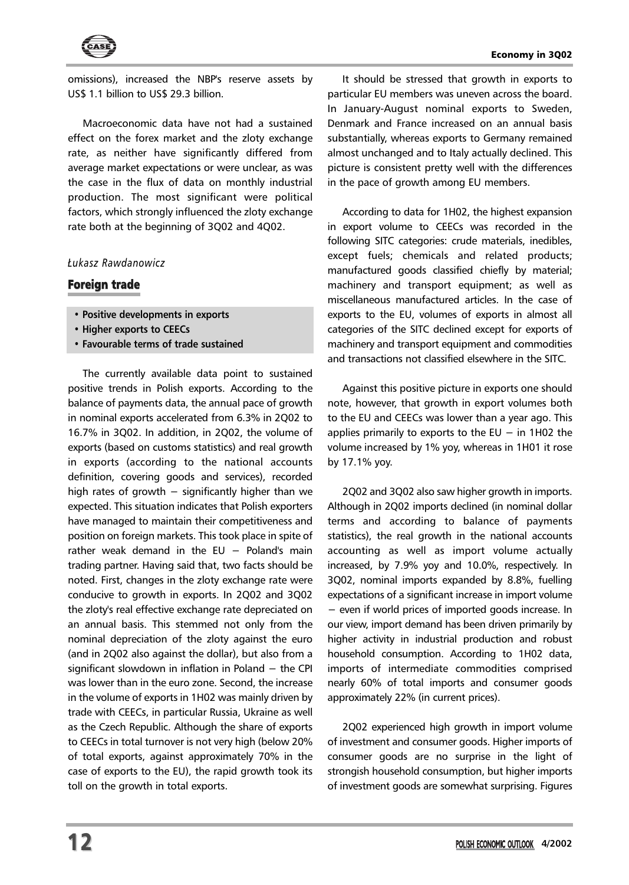

omissions), increased the NBP's reserve assets by US\$ 1.1 billion to US\$ 29.3 billion.

Macroeconomic data have not had a sustained effect on the forex market and the zloty exchange rate, as neither have significantly differed from average market expectations or were unclear, as was the case in the flux of data on monthly industrial production. The most significant were political factors, which strongly influenced the zloty exchange rate both at the beginning of 3Q02 and 4Q02.

## *£ukasz Rawdanowicz*

## Foreign trade

- **Positive developments in exports**
- **Higher exports to CEECs**
- **Favourable terms of trade sustained**

The currently available data point to sustained positive trends in Polish exports. According to the balance of payments data, the annual pace of growth in nominal exports accelerated from 6.3% in 2Q02 to 16.7% in 3Q02. In addition, in 2Q02, the volume of exports (based on customs statistics) and real growth in exports (according to the national accounts definition, covering goods and services), recorded high rates of growth  $-$  significantly higher than we expected. This situation indicates that Polish exporters have managed to maintain their competitiveness and position on foreign markets. This took place in spite of rather weak demand in the  $EU - Poland's$  main trading partner. Having said that, two facts should be noted. First, changes in the zloty exchange rate were conducive to growth in exports. In 2Q02 and 3Q02 the zloty's real effective exchange rate depreciated on an annual basis. This stemmed not only from the nominal depreciation of the zloty against the euro (and in 2Q02 also against the dollar), but also from a significant slowdown in inflation in Poland − the CPI was lower than in the euro zone. Second, the increase in the volume of exports in 1H02 was mainly driven by trade with CEECs, in particular Russia, Ukraine as well as the Czech Republic. Although the share of exports to CEECs in total turnover is not very high (below 20% of total exports, against approximately 70% in the case of exports to the EU), the rapid growth took its toll on the growth in total exports.

It should be stressed that growth in exports to particular EU members was uneven across the board. In January-August nominal exports to Sweden, Denmark and France increased on an annual basis substantially, whereas exports to Germany remained almost unchanged and to Italy actually declined. This picture is consistent pretty well with the differences in the pace of growth among EU members.

According to data for 1H02, the highest expansion in export volume to CEECs was recorded in the following SITC categories: crude materials, inedibles, except fuels; chemicals and related products; manufactured goods classified chiefly by material; machinery and transport equipment; as well as miscellaneous manufactured articles. In the case of exports to the EU, volumes of exports in almost all categories of the SITC declined except for exports of machinery and transport equipment and commodities and transactions not classified elsewhere in the SITC.

Against this positive picture in exports one should note, however, that growth in export volumes both to the EU and CEECs was lower than a year ago. This applies primarily to exports to the  $EU - in 1H02$  the volume increased by 1% yoy, whereas in 1H01 it rose by 17.1% yoy.

2Q02 and 3Q02 also saw higher growth in imports. Although in 2Q02 imports declined (in nominal dollar terms and according to balance of payments statistics), the real growth in the national accounts accounting as well as import volume actually increased, by 7.9% yoy and 10.0%, respectively. In 3Q02, nominal imports expanded by 8.8%, fuelling expectations of a significant increase in import volume − even if world prices of imported goods increase. In our view, import demand has been driven primarily by higher activity in industrial production and robust household consumption. According to 1H02 data, imports of intermediate commodities comprised nearly 60% of total imports and consumer goods approximately 22% (in current prices).

2Q02 experienced high growth in import volume of investment and consumer goods. Higher imports of consumer goods are no surprise in the light of strongish household consumption, but higher imports of investment goods are somewhat surprising. Figures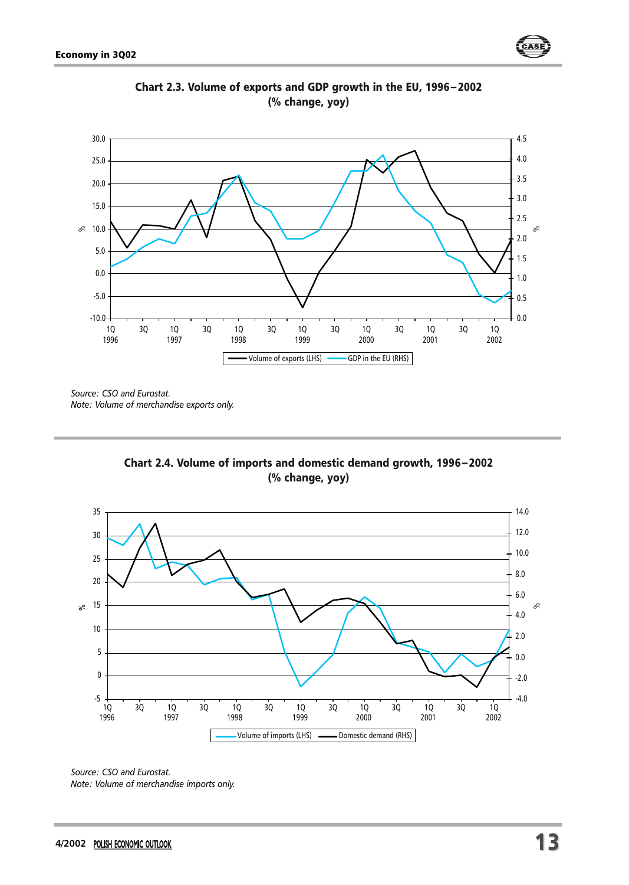



Chart 2.3. Volume of exports and GDP growth in the EU, 1996−2002 (% change, yoy)

*Source: CSO and Eurostat. Note: Volume of merchandise exports only.*





*Source: CSO and Eurostat. Note: Volume of merchandise imports only.*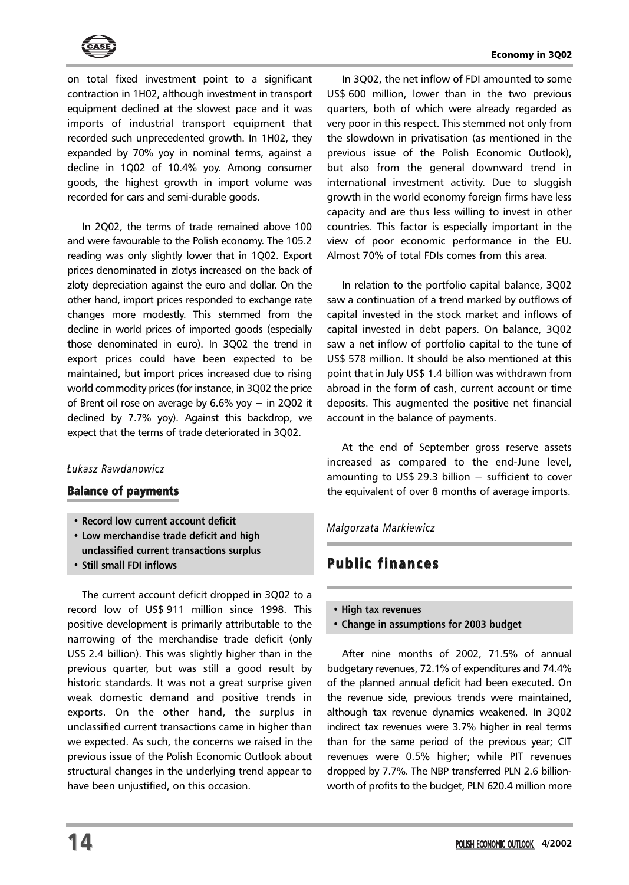

on total fixed investment point to a significant contraction in 1H02, although investment in transport equipment declined at the slowest pace and it was imports of industrial transport equipment that recorded such unprecedented growth. In 1H02, they expanded by 70% yoy in nominal terms, against a decline in 1Q02 of 10.4% yoy. Among consumer goods, the highest growth in import volume was recorded for cars and semi-durable goods.

In 2Q02, the terms of trade remained above 100 and were favourable to the Polish economy. The 105.2 reading was only slightly lower that in 1Q02. Export prices denominated in zlotys increased on the back of zloty depreciation against the euro and dollar. On the other hand, import prices responded to exchange rate changes more modestly. This stemmed from the decline in world prices of imported goods (especially those denominated in euro). In 3Q02 the trend in export prices could have been expected to be maintained, but import prices increased due to rising world commodity prices (for instance, in 3Q02 the price of Brent oil rose on average by 6.6% yoy − in 2Q02 it declined by 7.7% yoy). Against this backdrop, we expect that the terms of trade deteriorated in 3Q02.

#### *£ukasz Rawdanowicz*

## Balance of payments

- **Record low current account deficit**
- **Low merchandise trade deficit and high unclassified current transactions surplus**
- **Still small FDI inflows**

The current account deficit dropped in 3Q02 to a record low of US\$ 911 million since 1998. This positive development is primarily attributable to the narrowing of the merchandise trade deficit (only US\$ 2.4 billion). This was slightly higher than in the previous quarter, but was still a good result by historic standards. It was not a great surprise given weak domestic demand and positive trends in exports. On the other hand, the surplus in unclassified current transactions came in higher than we expected. As such, the concerns we raised in the previous issue of the Polish Economic Outlook about structural changes in the underlying trend appear to have been unjustified, on this occasion.

In 3Q02, the net inflow of FDI amounted to some US\$ 600 million, lower than in the two previous quarters, both of which were already regarded as very poor in this respect. This stemmed not only from the slowdown in privatisation (as mentioned in the previous issue of the Polish Economic Outlook), but also from the general downward trend in international investment activity. Due to sluggish growth in the world economy foreign firms have less capacity and are thus less willing to invest in other countries. This factor is especially important in the view of poor economic performance in the EU. Almost 70% of total FDIs comes from this area.

In relation to the portfolio capital balance, 3Q02 saw a continuation of a trend marked by outflows of capital invested in the stock market and inflows of capital invested in debt papers. On balance, 3Q02 saw a net inflow of portfolio capital to the tune of US\$ 578 million. It should be also mentioned at this point that in July US\$ 1.4 billion was withdrawn from abroad in the form of cash, current account or time deposits. This augmented the positive net financial account in the balance of payments.

At the end of September gross reserve assets increased as compared to the end-June level, amounting to US\$ 29.3 billion − sufficient to cover the equivalent of over 8 months of average imports.

#### *Ma³gorzata Markiewicz*

## **Public finances**

- **High tax revenues**
- **Change in assumptions for 2003 budget**

After nine months of 2002, 71.5% of annual budgetary revenues, 72.1% of expenditures and 74.4% of the planned annual deficit had been executed. On the revenue side, previous trends were maintained, although tax revenue dynamics weakened. In 3Q02 indirect tax revenues were 3.7% higher in real terms than for the same period of the previous year; CIT revenues were 0.5% higher; while PIT revenues dropped by 7.7%. The NBP transferred PLN 2.6 billionworth of profits to the budget, PLN 620.4 million more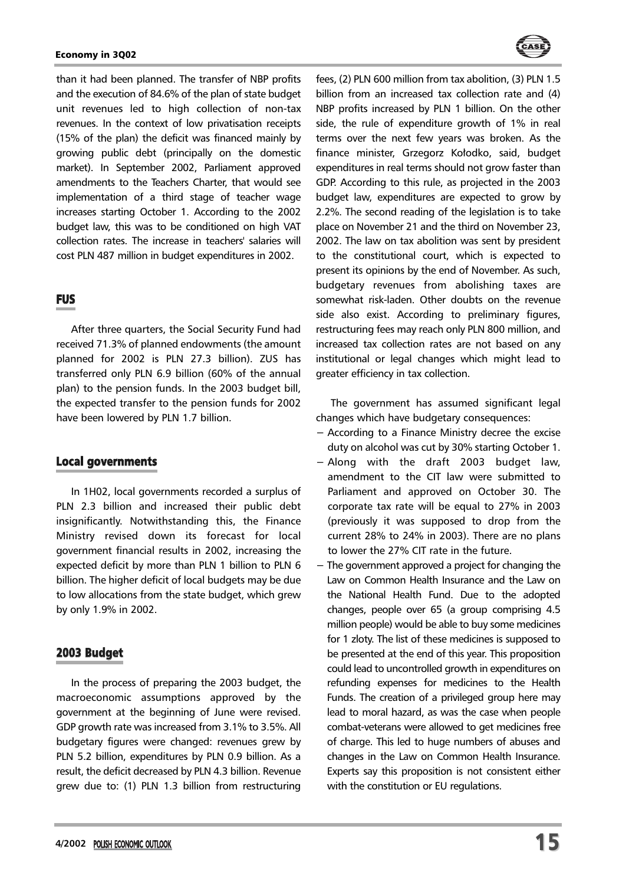#### Economy in 3Q02



than it had been planned. The transfer of NBP profits and the execution of 84.6% of the plan of state budget unit revenues led to high collection of non-tax revenues. In the context of low privatisation receipts (15% of the plan) the deficit was financed mainly by growing public debt (principally on the domestic market). In September 2002, Parliament approved amendments to the Teachers Charter, that would see implementation of a third stage of teacher wage increases starting October 1. According to the 2002 budget law, this was to be conditioned on high VAT collection rates. The increase in teachers' salaries will cost PLN 487 million in budget expenditures in 2002.

## **FUS**

After three quarters, the Social Security Fund had received 71.3% of planned endowments (the amount planned for 2002 is PLN 27.3 billion). ZUS has transferred only PLN 6.9 billion (60% of the annual plan) to the pension funds. In the 2003 budget bill, the expected transfer to the pension funds for 2002 have been lowered by PLN 1.7 billion.

#### Local governments

In 1H02, local governments recorded a surplus of PLN 2.3 billion and increased their public debt insignificantly. Notwithstanding this, the Finance Ministry revised down its forecast for local government financial results in 2002, increasing the expected deficit by more than PLN 1 billion to PLN 6 billion. The higher deficit of local budgets may be due to low allocations from the state budget, which grew by only 1.9% in 2002.

## 2003 Budget

In the process of preparing the 2003 budget, the macroeconomic assumptions approved by the government at the beginning of June were revised. GDP growth rate was increased from 3.1% to 3.5%. All budgetary figures were changed: revenues grew by PLN 5.2 billion, expenditures by PLN 0.9 billion. As a result, the deficit decreased by PLN 4.3 billion. Revenue grew due to: (1) PLN 1.3 billion from restructuring fees, (2) PLN 600 million from tax abolition, (3) PLN 1.5 billion from an increased tax collection rate and (4) NBP profits increased by PLN 1 billion. On the other side, the rule of expenditure growth of 1% in real terms over the next few years was broken. As the finance minister, Grzegorz Kołodko, said, budget expenditures in real terms should not grow faster than GDP. According to this rule, as projected in the 2003 budget law, expenditures are expected to grow by 2.2%. The second reading of the legislation is to take place on November 21 and the third on November 23, 2002. The law on tax abolition was sent by president to the constitutional court, which is expected to present its opinions by the end of November. As such, budgetary revenues from abolishing taxes are somewhat risk-laden. Other doubts on the revenue side also exist. According to preliminary figures, restructuring fees may reach only PLN 800 million, and increased tax collection rates are not based on any institutional or legal changes which might lead to greater efficiency in tax collection.

The government has assumed significant legal changes which have budgetary consequences:

- − According to a Finance Ministry decree the excise duty on alcohol was cut by 30% starting October 1.
- − Along with the draft 2003 budget law, amendment to the CIT law were submitted to Parliament and approved on October 30. The corporate tax rate will be equal to 27% in 2003 (previously it was supposed to drop from the current 28% to 24% in 2003). There are no plans to lower the 27% CIT rate in the future.
- The government approved a project for changing the Law on Common Health Insurance and the Law on the National Health Fund. Due to the adopted changes, people over 65 (a group comprising 4.5 million people) would be able to buy some medicines for 1 zloty. The list of these medicines is supposed to be presented at the end of this year. This proposition could lead to uncontrolled growth in expenditures on refunding expenses for medicines to the Health Funds. The creation of a privileged group here may lead to moral hazard, as was the case when people combat-veterans were allowed to get medicines free of charge. This led to huge numbers of abuses and changes in the Law on Common Health Insurance. Experts say this proposition is not consistent either with the constitution or EU regulations.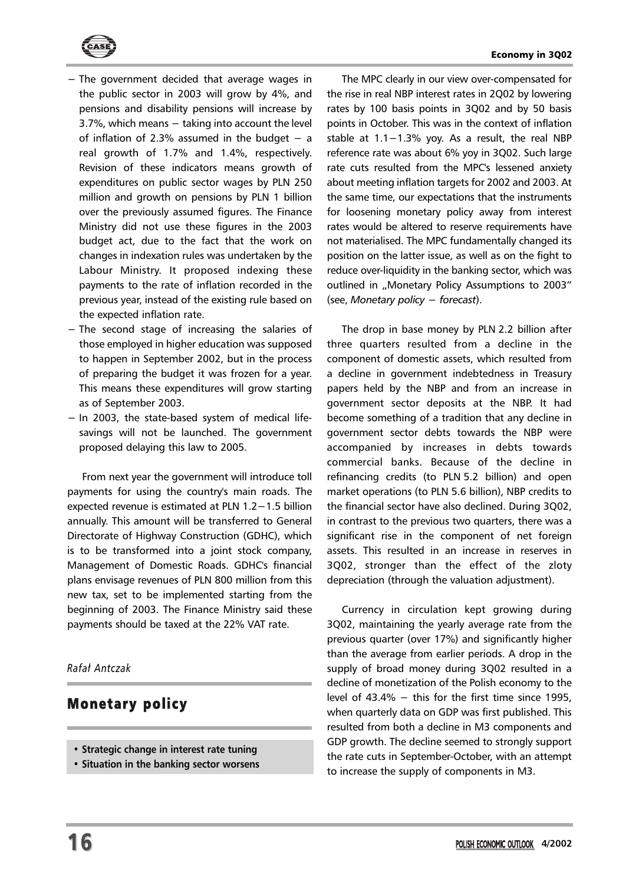

- − The government decided that average wages in the public sector in 2003 will grow by 4%, and pensions and disability pensions will increase by 3.7%, which means − taking into account the level of inflation of 2.3% assumed in the budget  $-$  a real growth of 1.7% and 1.4%, respectively. Revision of these indicators means growth of expenditures on public sector wages by PLN 250 million and growth on pensions by PLN 1 billion over the previously assumed figures. The Finance Ministry did not use these figures in the 2003 budget act, due to the fact that the work on changes in indexation rules was undertaken by the Labour Ministry. It proposed indexing these payments to the rate of inflation recorded in the previous year, instead of the existing rule based on the expected inflation rate.
- − The second stage of increasing the salaries of those employed in higher education was supposed to happen in September 2002, but in the process of preparing the budget it was frozen for a year. This means these expenditures will grow starting as of September 2003.
- − In 2003, the state-based system of medical lifesavings will not be launched. The government proposed delaying this law to 2005.

From next year the government will introduce toll payments for using the country's main roads. The expected revenue is estimated at PLN 1.2−1.5 billion annually. This amount will be transferred to General Directorate of Highway Construction (GDHC), which is to be transformed into a joint stock company, Management of Domestic Roads. GDHC's financial plans envisage revenues of PLN 800 million from this new tax, set to be implemented starting from the beginning of 2003. The Finance Ministry said these payments should be taxed at the 22% VAT rate.

## *Rafa³ Antczak*

## Monetary policy

- **Strategic change in interest rate tuning**
- **Situation in the banking sector worsens**

The MPC clearly in our view over-compensated for the rise in real NBP interest rates in 2Q02 by lowering rates by 100 basis points in 3Q02 and by 50 basis points in October. This was in the context of inflation stable at 1.1−1.3% yoy. As a result, the real NBP reference rate was about 6% yoy in 3Q02. Such large rate cuts resulted from the MPC's lessened anxiety about meeting inflation targets for 2002 and 2003. At the same time, our expectations that the instruments for loosening monetary policy away from interest rates would be altered to reserve requirements have not materialised. The MPC fundamentally changed its position on the latter issue, as well as on the fight to reduce over-liquidity in the banking sector, which was outlined in "Monetary Policy Assumptions to 2003" (see, *Monetary policy − forecast*).

The drop in base money by PLN 2.2 billion after three quarters resulted from a decline in the component of domestic assets, which resulted from a decline in government indebtedness in Treasury papers held by the NBP and from an increase in government sector deposits at the NBP. It had become something of a tradition that any decline in government sector debts towards the NBP were accompanied by increases in debts towards commercial banks. Because of the decline in refinancing credits (to PLN 5.2 billion) and open market operations (to PLN 5.6 billion), NBP credits to the financial sector have also declined. During 3Q02, in contrast to the previous two quarters, there was a significant rise in the component of net foreign assets. This resulted in an increase in reserves in 3Q02, stronger than the effect of the zloty depreciation (through the valuation adjustment).

Currency in circulation kept growing during 3Q02, maintaining the yearly average rate from the previous quarter (over 17%) and significantly higher than the average from earlier periods. A drop in the supply of broad money during 3Q02 resulted in a decline of monetization of the Polish economy to the level of 43.4% − this for the first time since 1995, when quarterly data on GDP was first published. This resulted from both a decline in M3 components and GDP growth. The decline seemed to strongly support the rate cuts in September-October, with an attempt to increase the supply of components in M3.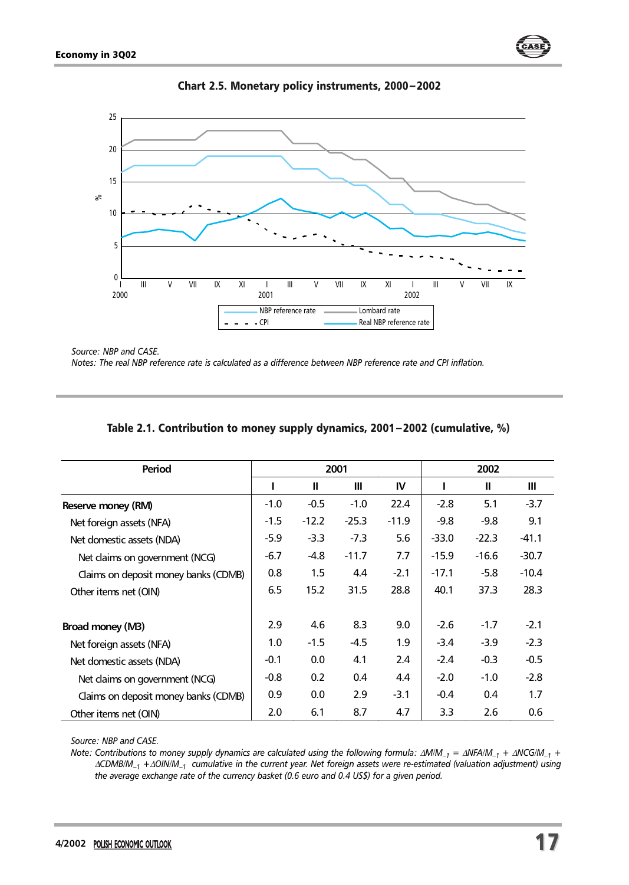



Chart 2.5. Monetary policy instruments, 2000−2002

*Source: NBP and CASE.*

*Notes: The real NBP reference rate is calculated as a difference between NBP reference rate and CPI inflation.*

| Period                               |        |         | 2001    |         |         | 2002    |         |
|--------------------------------------|--------|---------|---------|---------|---------|---------|---------|
|                                      |        | Ш       | Ш       | IV      | L       | Ш       | Ш       |
| Reserve money (RM)                   | $-1.0$ | $-0.5$  | $-1.0$  | 22.4    | $-2.8$  | 5.1     | $-3.7$  |
| Net foreign assets (NFA)             | $-1.5$ | $-12.2$ | $-25.3$ | $-11.9$ | $-9.8$  | $-9.8$  | 9.1     |
| Net domestic assets (NDA)            | $-5.9$ | $-3.3$  | $-7.3$  | 5.6     | $-33.0$ | $-22.3$ | $-41.1$ |
| Net claims on government (NCG)       | -6.7   | -4.8    | $-11.7$ | 7.7     | $-15.9$ | $-16.6$ | $-30.7$ |
| Claims on deposit money banks (CDMB) | 0.8    | 1.5     | 4.4     | $-2.1$  | $-17.1$ | $-5.8$  | $-10.4$ |
| Other items net (OIN)                | 6.5    | 15.2    | 31.5    | 28.8    | 40.1    | 37.3    | 28.3    |
| Broad money (MB)                     | 2.9    | 4.6     | 8.3     | 9.0     | $-2.6$  | $-1.7$  | $-2.1$  |
| Net foreign assets (NFA)             | 1.0    | $-1.5$  | $-4.5$  | 1.9     | $-3.4$  | $-3.9$  | $-2.3$  |
| Net domestic assets (NDA)            | $-0.1$ | 0.0     | 4.1     | 2.4     | $-2.4$  | $-0.3$  | $-0.5$  |
| Net claims on government (NCG)       | $-0.8$ | 0.2     | 0.4     | 4.4     | $-2.0$  | $-1.0$  | $-2.8$  |
| Claims on deposit money banks (CDMB) | 0.9    | 0.0     | 2.9     | $-3.1$  | $-0.4$  | 0.4     | 1.7     |
| Other items net (OIN)                | 2.0    | 6.1     | 8.7     | 4.7     | 3.3     | 2.6     | 0.6     |

## Table 2.1. Contribution to money supply dynamics, 2001−2002 (cumulative, %)

*Source: NBP and CASE.*

*Note: Contributions to money supply dynamics are calculated using the following formula:* <sup>∆</sup>*M/M–1 =* <sup>∆</sup>*NFA/M–1 +* <sup>∆</sup>*NCG/M–1 +* <sup>∆</sup>*CDMB/M–1 +*<sup>∆</sup>*OIN/M–1 cumulative in the current year. Net foreign assets were re-estimated (valuation adjustment) using the average exchange rate of the currency basket (0.6 euro and 0.4 US\$) for a given period.*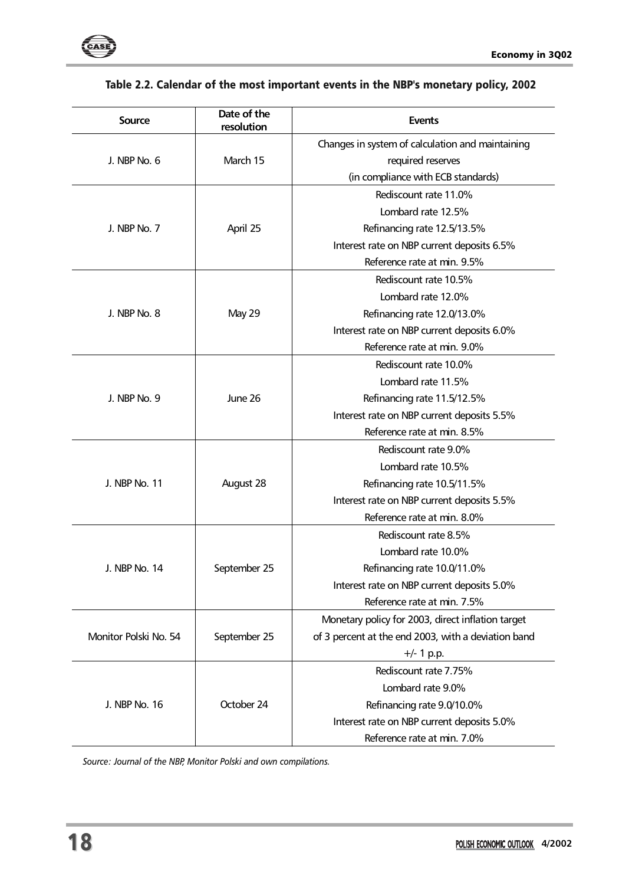

**Source Date of the** 

## **resolution Events**  J. NBP No. 6 March 15 Changes in system of calculation and maintaining required reserves (in compliance with ECB standards) J. NBP No. 7 April 25 Rediscount rate 11.0% Lombard rate 12.5% Refinancing rate 12.5/13.5% Interest rate on NBP current deposits 6.5% Reference rate at min. 9.5% J. NBP No. 8 May 29 Rediscount rate 10.5% Lombard rate 12.0% Refinancing rate 12.0/13.0% Interest rate on NBP current deposits 6.0% Reference rate at min. 9.0% J. NBP No. 9 June 26 Rediscount rate 10.0% Lombard rate 11.5% Refinancing rate 11.5/12.5% Interest rate on NBP current deposits 5.5% Reference rate at min. 8.5% J. NBP No. 11 August 28 Rediscount rate 9.0% Lombard rate 10.5% Refinancing rate 10.5/11.5% Interest rate on NBP current deposits 5.5% Reference rate at min. 8.0% J. NBP No. 14 September 25 Rediscount rate 8.5% Lombard rate 10.0% Refinancing rate 10.0/11.0% Interest rate on NBP current deposits 5.0% Reference rate at min. 7.5% Monetary policy for 2003, direct inflation target

## Table 2.2. Calendar of the most important events in the NBP's monetary policy, 2002

*Source: Journal of the NBP, Monitor Polski and own compilations.*

Monitor Polski No. 54 | September 25

J. NBP No. 16 October 24

of 3 percent at the end 2003, with a deviation band +/- 1 p.p.

Rediscount rate 7.75% Lombard rate 9.0% Refinancing rate 9.0/10.0% Interest rate on NBP current deposits 5.0% Reference rate at min. 7.0%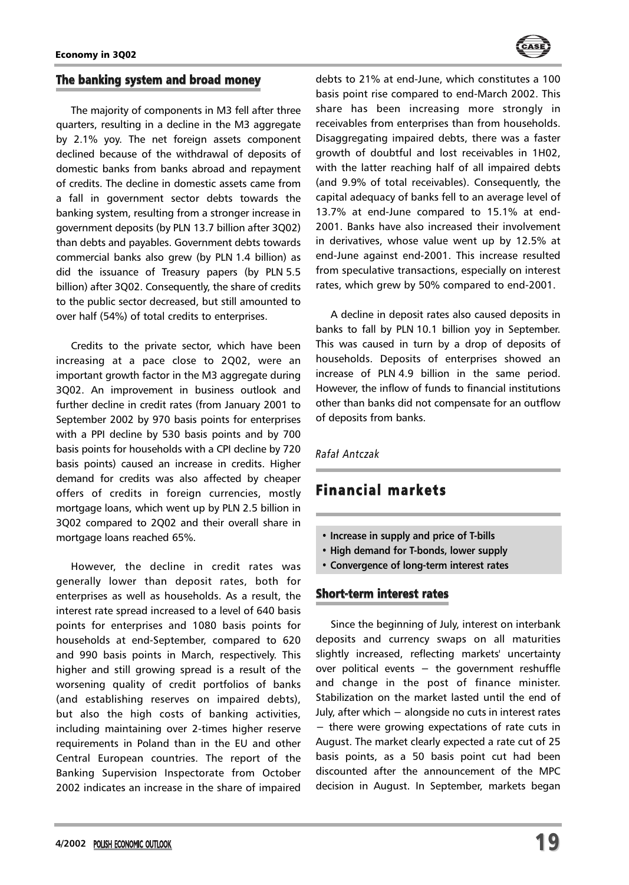

## The banking system and broad money

The majority of components in M3 fell after three quarters, resulting in a decline in the M3 aggregate by 2.1% yoy. The net foreign assets component declined because of the withdrawal of deposits of domestic banks from banks abroad and repayment of credits. The decline in domestic assets came from a fall in government sector debts towards the banking system, resulting from a stronger increase in government deposits (by PLN 13.7 billion after 3Q02) than debts and payables. Government debts towards commercial banks also grew (by PLN 1.4 billion) as did the issuance of Treasury papers (by PLN 5.5 billion) after 3Q02. Consequently, the share of credits to the public sector decreased, but still amounted to over half (54%) of total credits to enterprises.

Credits to the private sector, which have been increasing at a pace close to 2Q02, were an important growth factor in the M3 aggregate during 3Q02. An improvement in business outlook and further decline in credit rates (from January 2001 to September 2002 by 970 basis points for enterprises with a PPI decline by 530 basis points and by 700 basis points for households with a CPI decline by 720 basis points) caused an increase in credits. Higher demand for credits was also affected by cheaper offers of credits in foreign currencies, mostly mortgage loans, which went up by PLN 2.5 billion in 3Q02 compared to 2Q02 and their overall share in mortgage loans reached 65%.

However, the decline in credit rates was generally lower than deposit rates, both for enterprises as well as households. As a result, the interest rate spread increased to a level of 640 basis points for enterprises and 1080 basis points for households at end-September, compared to 620 and 990 basis points in March, respectively. This higher and still growing spread is a result of the worsening quality of credit portfolios of banks (and establishing reserves on impaired debts), but also the high costs of banking activities, including maintaining over 2-times higher reserve requirements in Poland than in the EU and other Central European countries. The report of the Banking Supervision Inspectorate from October 2002 indicates an increase in the share of impaired debts to 21% at end-June, which constitutes a 100 basis point rise compared to end-March 2002. This share has been increasing more strongly in receivables from enterprises than from households. Disaggregating impaired debts, there was a faster growth of doubtful and lost receivables in 1H02, with the latter reaching half of all impaired debts (and 9.9% of total receivables). Consequently, the capital adequacy of banks fell to an average level of 13.7% at end-June compared to 15.1% at end-2001. Banks have also increased their involvement in derivatives, whose value went up by 12.5% at end-June against end-2001. This increase resulted from speculative transactions, especially on interest rates, which grew by 50% compared to end-2001.

A decline in deposit rates also caused deposits in banks to fall by PLN 10.1 billion yoy in September. This was caused in turn by a drop of deposits of households. Deposits of enterprises showed an increase of PLN 4.9 billion in the same period. However, the inflow of funds to financial institutions other than banks did not compensate for an outflow of deposits from banks.

## *Rafa³ Antczak*

## Financial markets

- **Increase in supply and price of T-bills**
- **High demand for T-bonds, lower supply**
- **Convergence of long-term interest rates**

## Short-term interest rates

Since the beginning of July, interest on interbank deposits and currency swaps on all maturities slightly increased, reflecting markets' uncertainty over political events - the government reshuffle and change in the post of finance minister. Stabilization on the market lasted until the end of July, after which − alongside no cuts in interest rates − there were growing expectations of rate cuts in August. The market clearly expected a rate cut of 25 basis points, as a 50 basis point cut had been discounted after the announcement of the MPC decision in August. In September, markets began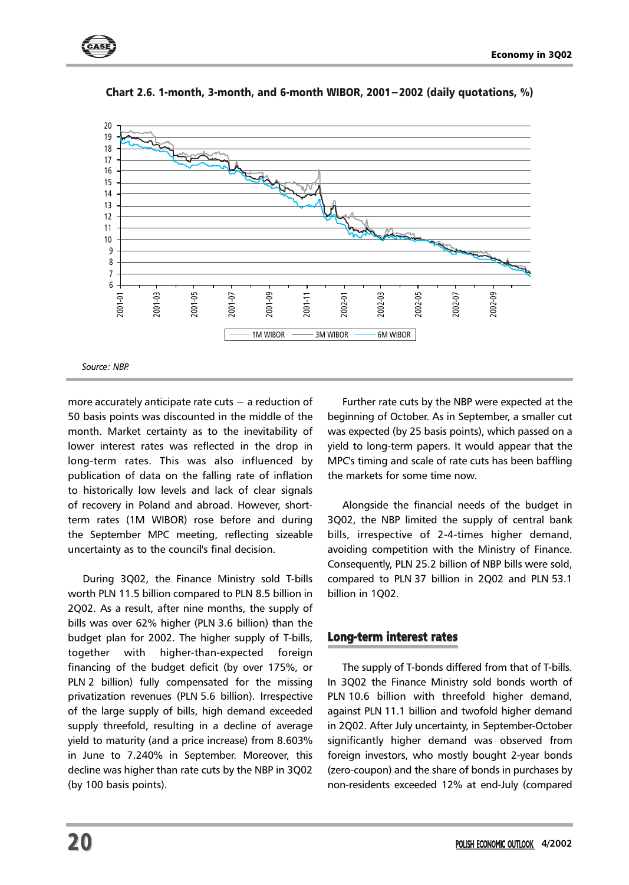



Chart 2.6. 1-month, 3-month, and 6-month WIBOR, 2001−2002 (daily quotations, %)

more accurately anticipate rate cuts − a reduction of 50 basis points was discounted in the middle of the month. Market certainty as to the inevitability of lower interest rates was reflected in the drop in long-term rates. This was also influenced by publication of data on the falling rate of inflation to historically low levels and lack of clear signals of recovery in Poland and abroad. However, shortterm rates (1M WIBOR) rose before and during the September MPC meeting, reflecting sizeable uncertainty as to the council's final decision.

During 3Q02, the Finance Ministry sold T-bills worth PLN 11.5 billion compared to PLN 8.5 billion in 2Q02. As a result, after nine months, the supply of bills was over 62% higher (PLN 3.6 billion) than the budget plan for 2002. The higher supply of T-bills, together with higher-than-expected foreign financing of the budget deficit (by over 175%, or PLN 2 billion) fully compensated for the missing privatization revenues (PLN 5.6 billion). Irrespective of the large supply of bills, high demand exceeded supply threefold, resulting in a decline of average yield to maturity (and a price increase) from 8.603% in June to 7.240% in September. Moreover, this decline was higher than rate cuts by the NBP in 3Q02 (by 100 basis points).

Further rate cuts by the NBP were expected at the beginning of October. As in September, a smaller cut was expected (by 25 basis points), which passed on a yield to long-term papers. It would appear that the MPC's timing and scale of rate cuts has been baffling the markets for some time now.

Alongside the financial needs of the budget in 3Q02, the NBP limited the supply of central bank bills, irrespective of 2-4-times higher demand, avoiding competition with the Ministry of Finance. Consequently, PLN 25.2 billion of NBP bills were sold, compared to PLN 37 billion in 2Q02 and PLN 53.1 billion in 1Q02.

## Long-term interest rates

The supply of T-bonds differed from that of T-bills. In 3Q02 the Finance Ministry sold bonds worth of PLN 10.6 billion with threefold higher demand, against PLN 11.1 billion and twofold higher demand in 2Q02. After July uncertainty, in September-October significantly higher demand was observed from foreign investors, who mostly bought 2-year bonds (zero-coupon) and the share of bonds in purchases by non-residents exceeded 12% at end-July (compared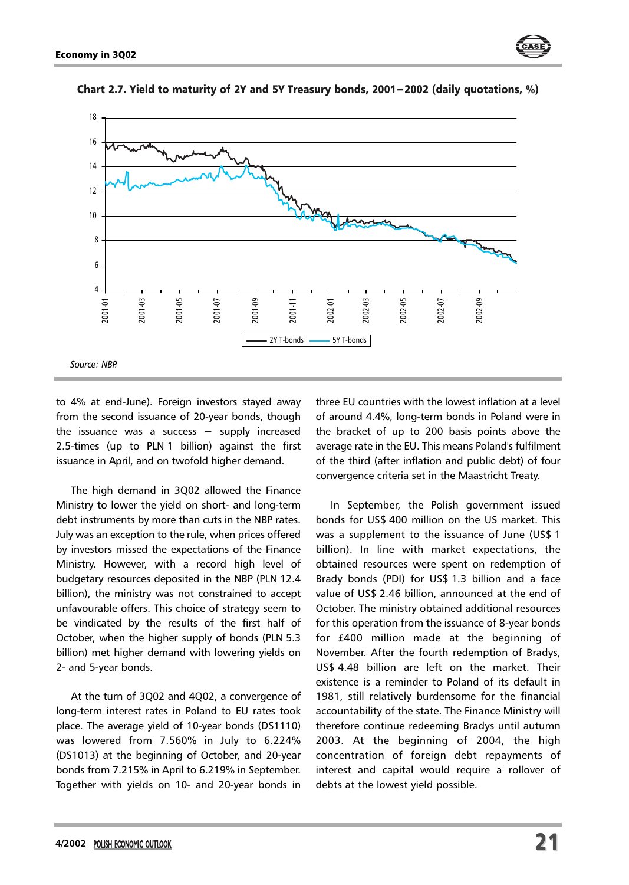



Chart 2.7. Yield to maturity of 2Y and 5Y Treasury bonds, 2001−2002 (daily quotations, %)

to 4% at end-June). Foreign investors stayed away from the second issuance of 20-year bonds, though the issuance was a success − supply increased 2.5-times (up to PLN 1 billion) against the first issuance in April, and on twofold higher demand.

The high demand in 3Q02 allowed the Finance Ministry to lower the yield on short- and long-term debt instruments by more than cuts in the NBP rates. July was an exception to the rule, when prices offered by investors missed the expectations of the Finance Ministry. However, with a record high level of budgetary resources deposited in the NBP (PLN 12.4 billion), the ministry was not constrained to accept unfavourable offers. This choice of strategy seem to be vindicated by the results of the first half of October, when the higher supply of bonds (PLN 5.3 billion) met higher demand with lowering yields on 2- and 5-year bonds.

At the turn of 3Q02 and 4Q02, a convergence of long-term interest rates in Poland to EU rates took place. The average yield of 10-year bonds (DS1110) was lowered from 7.560% in July to 6.224% (DS1013) at the beginning of October, and 20-year bonds from 7.215% in April to 6.219% in September. Together with yields on 10- and 20-year bonds in

three EU countries with the lowest inflation at a level of around 4.4%, long-term bonds in Poland were in the bracket of up to 200 basis points above the average rate in the EU. This means Poland's fulfilment of the third (after inflation and public debt) of four convergence criteria set in the Maastricht Treaty.

In September, the Polish government issued bonds for US\$ 400 million on the US market. This was a supplement to the issuance of June (US\$ 1 billion). In line with market expectations, the obtained resources were spent on redemption of Brady bonds (PDI) for US\$ 1.3 billion and a face value of US\$ 2.46 billion, announced at the end of October. The ministry obtained additional resources for this operation from the issuance of 8-year bonds for £400 million made at the beginning of November. After the fourth redemption of Bradys, US\$ 4.48 billion are left on the market. Their existence is a reminder to Poland of its default in 1981, still relatively burdensome for the financial accountability of the state. The Finance Ministry will therefore continue redeeming Bradys until autumn 2003. At the beginning of 2004, the high concentration of foreign debt repayments of interest and capital would require a rollover of debts at the lowest yield possible.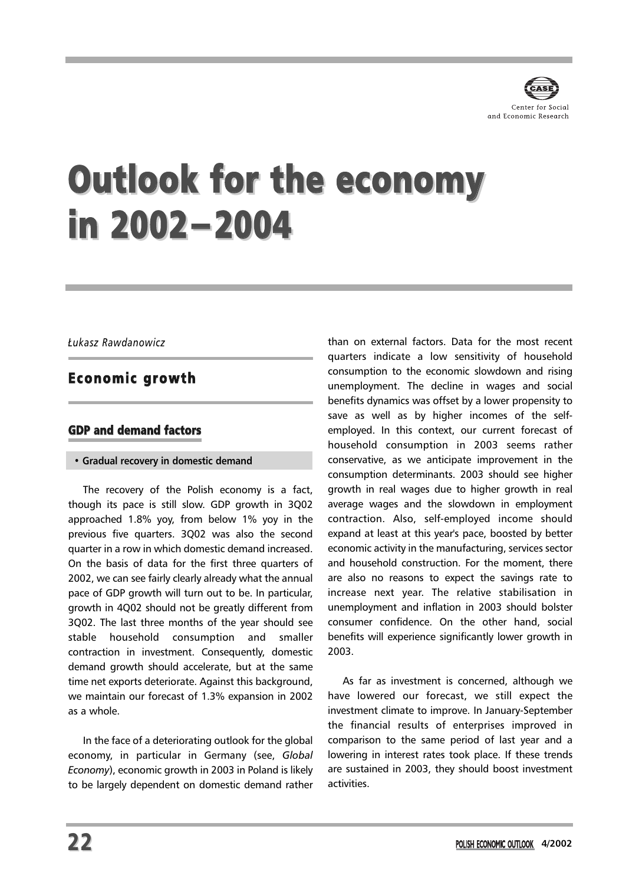

## Outlook for the economy in 2002−2004

## *£ukasz Rawdanowicz*

## Economic growth

## GDP and demand factors

#### **• Gradual recovery in domestic demand**

The recovery of the Polish economy is a fact, though its pace is still slow. GDP growth in 3Q02 approached 1.8% yoy, from below 1% yoy in the previous five quarters. 3Q02 was also the second quarter in a row in which domestic demand increased. On the basis of data for the first three quarters of 2002, we can see fairly clearly already what the annual pace of GDP growth will turn out to be. In particular, growth in 4Q02 should not be greatly different from 3Q02. The last three months of the year should see stable household consumption and smaller contraction in investment. Consequently, domestic demand growth should accelerate, but at the same time net exports deteriorate. Against this background, we maintain our forecast of 1.3% expansion in 2002 as a whole.

In the face of a deteriorating outlook for the global economy, in particular in Germany (see, *Global Economy*), economic growth in 2003 in Poland is likely to be largely dependent on domestic demand rather

than on external factors. Data for the most recent quarters indicate a low sensitivity of household consumption to the economic slowdown and rising unemployment. The decline in wages and social benefits dynamics was offset by a lower propensity to save as well as by higher incomes of the selfemployed. In this context, our current forecast of household consumption in 2003 seems rather conservative, as we anticipate improvement in the consumption determinants. 2003 should see higher growth in real wages due to higher growth in real average wages and the slowdown in employment contraction. Also, self-employed income should expand at least at this year's pace, boosted by better economic activity in the manufacturing, services sector and household construction. For the moment, there are also no reasons to expect the savings rate to increase next year. The relative stabilisation in unemployment and inflation in 2003 should bolster consumer confidence. On the other hand, social benefits will experience significantly lower growth in 2003.

As far as investment is concerned, although we have lowered our forecast, we still expect the investment climate to improve. In January-September the financial results of enterprises improved in comparison to the same period of last year and a lowering in interest rates took place. If these trends are sustained in 2003, they should boost investment activities.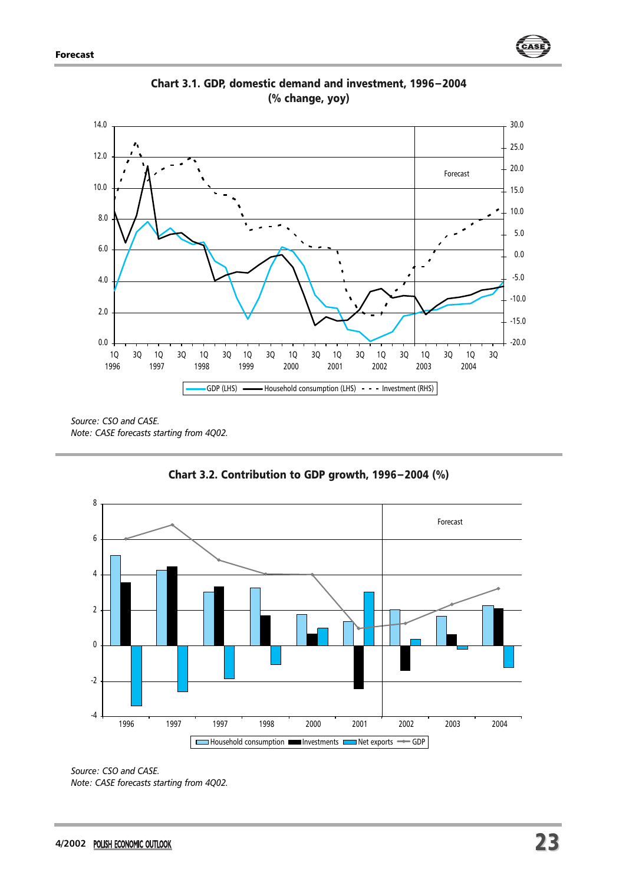

Chart 3.1. GDP, domestic demand and investment, 1996−2004 (% change, yoy)

*Source: CSO and CASE. Note: CASE forecasts starting from 4Q02.*



Chart 3.2. Contribution to GDP growth, 1996−2004 (%)

*Source: CSO and CASE. Note: CASE forecasts starting from 4Q02.*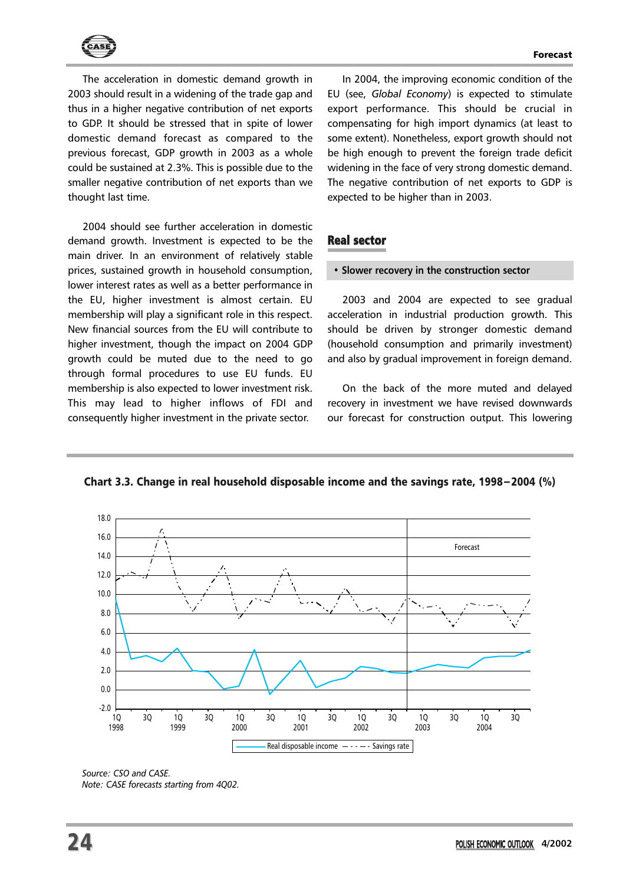

The acceleration in domestic demand growth in 2003 should result in a widening of the trade gap and thus in a higher negative contribution of net exports to GDP. It should be stressed that in spite of lower domestic demand forecast as compared to the previous forecast, GDP growth in 2003 as a whole could be sustained at 2.3%. This is possible due to the smaller negative contribution of net exports than we thought last time.

2004 should see further acceleration in domestic demand growth. Investment is expected to be the main driver. In an environment of relatively stable prices, sustained growth in household consumption, lower interest rates as well as a better performance in the EU, higher investment is almost certain. EU membership will play a significant role in this respect. New financial sources from the EU will contribute to higher investment, though the impact on 2004 GDP growth could be muted due to the need to go through formal procedures to use EU funds. EU membership is also expected to lower investment risk. This may lead to higher inflows of FDI and consequently higher investment in the private sector.

In 2004, the improving economic condition of the EU (see, *Global Economy*) is expected to stimulate export performance. This should be crucial in compensating for high import dynamics (at least to some extent). Nonetheless, export growth should not be high enough to prevent the foreign trade deficit widening in the face of very strong domestic demand. The negative contribution of net exports to GDP is expected to be higher than in 2003.

## Real sector

#### **• Slower recovery in the construction sector**

2003 and 2004 are expected to see gradual acceleration in industrial production growth. This should be driven by stronger domestic demand (household consumption and primarily investment) and also by gradual improvement in foreign demand.

On the back of the more muted and delayed recovery in investment we have revised downwards our forecast for construction output. This lowering

Chart 3.3. Change in real household disposable income and the savings rate, 1998−2004 (%)



*Source: CSO and CASE. Note: CASE forecasts starting from 4Q02.*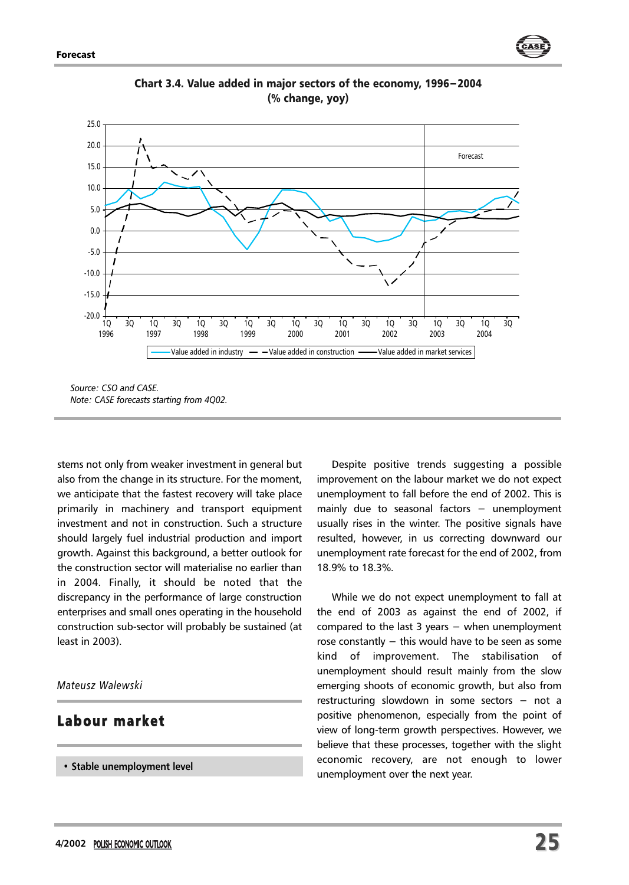



Chart 3.4. Value added in major sectors of the economy, 1996−2004 (% change, yoy)

*Source: CSO and CASE. Note: CASE forecasts starting from 4Q02.*

stems not only from weaker investment in general but also from the change in its structure. For the moment, we anticipate that the fastest recovery will take place primarily in machinery and transport equipment investment and not in construction. Such a structure should largely fuel industrial production and import growth. Against this background, a better outlook for the construction sector will materialise no earlier than in 2004. Finally, it should be noted that the discrepancy in the performance of large construction enterprises and small ones operating in the household construction sub-sector will probably be sustained (at least in 2003).

*Mateusz Walewski*

## Labour market

**• Stable unemployment level**

Despite positive trends suggesting a possible improvement on the labour market we do not expect unemployment to fall before the end of 2002. This is mainly due to seasonal factors − unemployment usually rises in the winter. The positive signals have resulted, however, in us correcting downward our unemployment rate forecast for the end of 2002, from 18.9% to 18.3%.

While we do not expect unemployment to fall at the end of 2003 as against the end of 2002, if compared to the last 3 years − when unemployment rose constantly − this would have to be seen as some kind of improvement. The stabilisation of unemployment should result mainly from the slow emerging shoots of economic growth, but also from restructuring slowdown in some sectors − not a positive phenomenon, especially from the point of view of long-term growth perspectives. However, we believe that these processes, together with the slight economic recovery, are not enough to lower unemployment over the next year.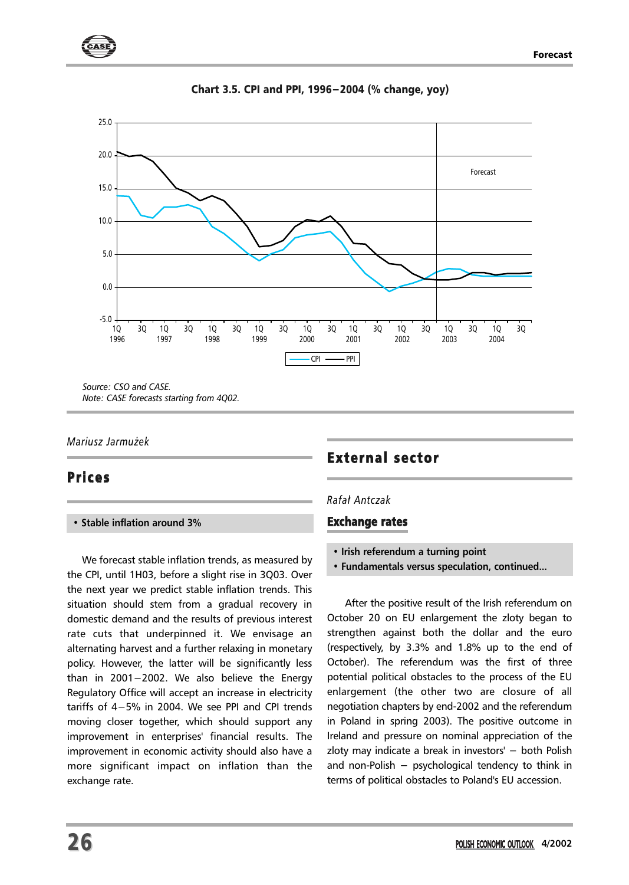



Chart 3.5. CPI and PPI, 1996−2004 (% change, yoy)

*Note: CASE forecasts starting from 4Q02.*

## *Mariusz Jarmu¿ek*

## **Prices**

## **• Stable inflation around 3%**

We forecast stable inflation trends, as measured by the CPI, until 1H03, before a slight rise in 3Q03. Over the next year we predict stable inflation trends. This situation should stem from a gradual recovery in domestic demand and the results of previous interest rate cuts that underpinned it. We envisage an alternating harvest and a further relaxing in monetary policy. However, the latter will be significantly less than in 2001−2002. We also believe the Energy Regulatory Office will accept an increase in electricity tariffs of 4−5% in 2004. We see PPI and CPI trends moving closer together, which should support any improvement in enterprises' financial results. The improvement in economic activity should also have a more significant impact on inflation than the exchange rate.

## External sector

## *Rafa³ Antczak*

## Exchange rates

- **Irish referendum a turning point**
- **Fundamentals versus speculation, continued...**

After the positive result of the Irish referendum on October 20 on EU enlargement the zloty began to strengthen against both the dollar and the euro (respectively, by 3.3% and 1.8% up to the end of October). The referendum was the first of three potential political obstacles to the process of the EU enlargement (the other two are closure of all negotiation chapters by end-2002 and the referendum in Poland in spring 2003). The positive outcome in Ireland and pressure on nominal appreciation of the zloty may indicate a break in investors' − both Polish and non-Polish − psychological tendency to think in terms of political obstacles to Poland's EU accession.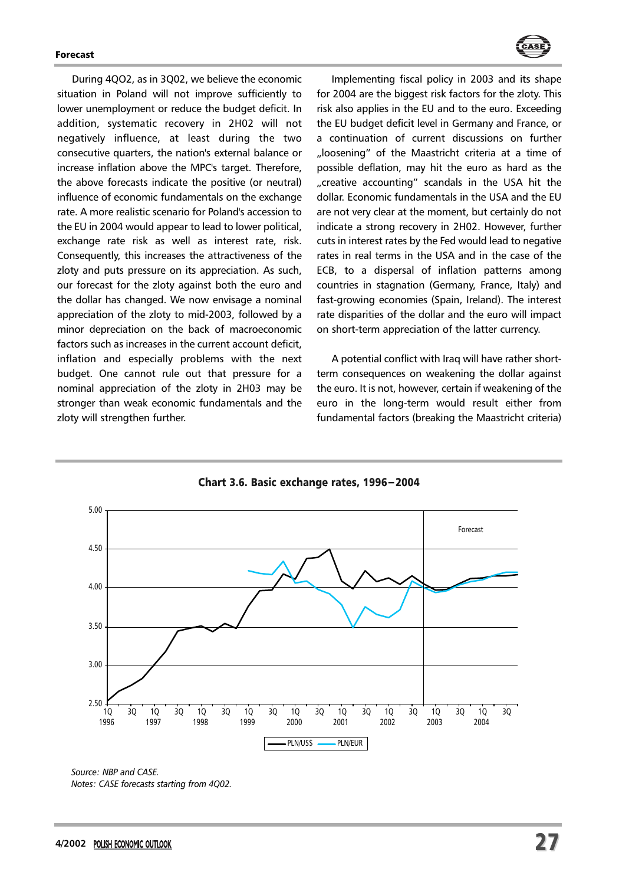

During 4QO2, as in 3Q02, we believe the economic situation in Poland will not improve sufficiently to lower unemployment or reduce the budget deficit. In addition, systematic recovery in 2H02 will not negatively influence, at least during the two consecutive quarters, the nation's external balance or increase inflation above the MPC's target. Therefore, the above forecasts indicate the positive (or neutral) influence of economic fundamentals on the exchange rate. A more realistic scenario for Poland's accession to the EU in 2004 would appear to lead to lower political, exchange rate risk as well as interest rate, risk. Consequently, this increases the attractiveness of the zloty and puts pressure on its appreciation. As such, our forecast for the zloty against both the euro and the dollar has changed. We now envisage a nominal appreciation of the zloty to mid-2003, followed by a minor depreciation on the back of macroeconomic factors such as increases in the current account deficit, inflation and especially problems with the next budget. One cannot rule out that pressure for a nominal appreciation of the zloty in 2H03 may be stronger than weak economic fundamentals and the zloty will strengthen further.

Implementing fiscal policy in 2003 and its shape for 2004 are the biggest risk factors for the zloty. This risk also applies in the EU and to the euro. Exceeding the EU budget deficit level in Germany and France, or a continuation of current discussions on further "loosening" of the Maastricht criteria at a time of possible deflation, may hit the euro as hard as the "creative accounting" scandals in the USA hit the dollar. Economic fundamentals in the USA and the EU are not very clear at the moment, but certainly do not indicate a strong recovery in 2H02. However, further cuts in interest rates by the Fed would lead to negative rates in real terms in the USA and in the case of the ECB, to a dispersal of inflation patterns among countries in stagnation (Germany, France, Italy) and fast-growing economies (Spain, Ireland). The interest rate disparities of the dollar and the euro will impact on short-term appreciation of the latter currency.

A potential conflict with Iraq will have rather shortterm consequences on weakening the dollar against the euro. It is not, however, certain if weakening of the euro in the long-term would result either from fundamental factors (breaking the Maastricht criteria)



Chart 3.6. Basic exchange rates, 1996−2004

*Source: NBP and CASE. Notes: CASE forecasts starting from 4Q02.*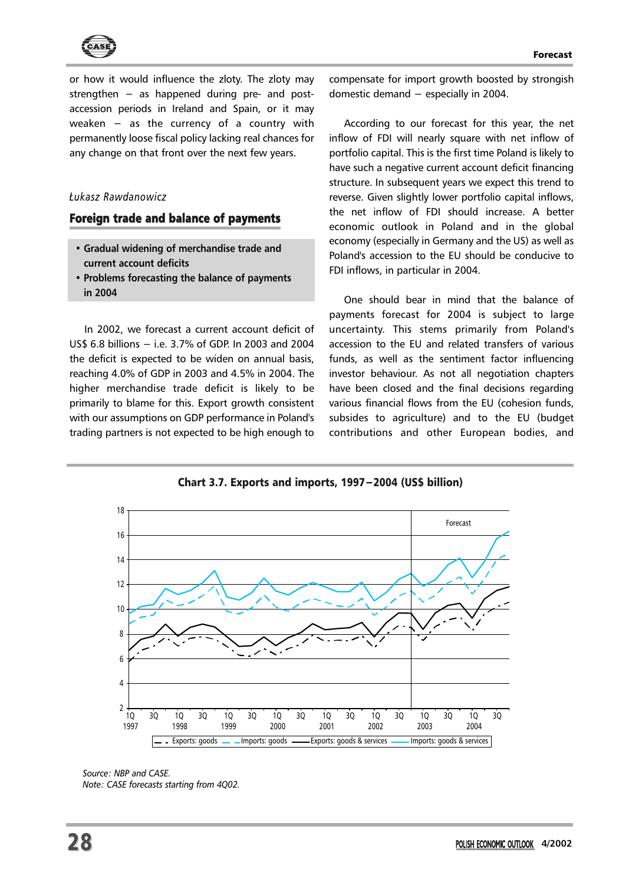

or how it would influence the zloty. The zloty may strengthen – as happened during pre- and postaccession periods in Ireland and Spain, or it may weaken – as the currency of a country with permanently loose fiscal policy lacking real chances for any change on that front over the next few years.

## *£ukasz Rawdanowicz*

#### Foreign trade and balance of payments

- **Gradual widening of merchandise trade and current account deficits**
- **Problems forecasting the balance of payments in 2004**

In 2002, we forecast a current account deficit of US\$ 6.8 billions − i.e. 3.7% of GDP. In 2003 and 2004 the deficit is expected to be widen on annual basis, reaching 4.0% of GDP in 2003 and 4.5% in 2004. The higher merchandise trade deficit is likely to be primarily to blame for this. Export growth consistent with our assumptions on GDP performance in Poland's trading partners is not expected to be high enough to compensate for import growth boosted by strongish domestic demand − especially in 2004.

According to our forecast for this year, the net inflow of FDI will nearly square with net inflow of portfolio capital. This is the first time Poland is likely to have such a negative current account deficit financing structure. In subsequent years we expect this trend to reverse. Given slightly lower portfolio capital inflows, the net inflow of FDI should increase. A better economic outlook in Poland and in the global economy (especially in Germany and the US) as well as Poland's accession to the EU should be conducive to FDI inflows, in particular in 2004.

One should bear in mind that the balance of payments forecast for 2004 is subject to large uncertainty. This stems primarily from Poland's accession to the EU and related transfers of various funds, as well as the sentiment factor influencing investor behaviour. As not all negotiation chapters have been closed and the final decisions regarding various financial flows from the EU (cohesion funds, subsides to agriculture) and to the EU (budget contributions and other European bodies, and

Chart 3.7. Exports and imports, 1997−2004 (US\$ billion)



*Source: NBP and CASE. Note: CASE forecasts starting from 4Q02.*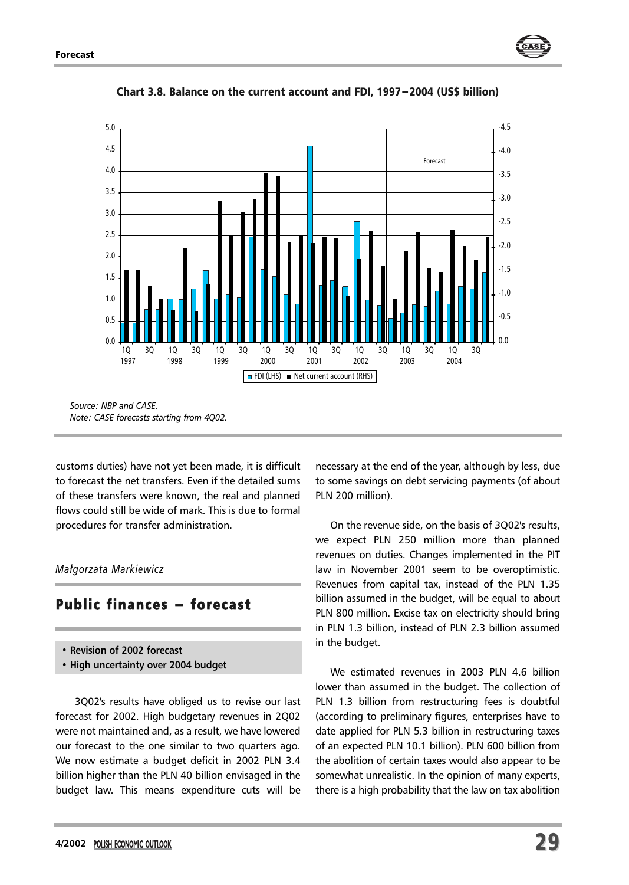



Chart 3.8. Balance on the current account and FDI, 1997−2004 (US\$ billion)

*Source: NBP and CASE. Note: CASE forecasts starting from 4Q02.*

customs duties) have not yet been made, it is difficult to forecast the net transfers. Even if the detailed sums of these transfers were known, the real and planned flows could still be wide of mark. This is due to formal procedures for transfer administration.

#### *Ma³gorzata Markiewicz*

## Public finances - forecast

- **Revision of 2002 forecast**
- **High uncertainty over 2004 budget**

3Q02's results have obliged us to revise our last forecast for 2002. High budgetary revenues in 2Q02 were not maintained and, as a result, we have lowered our forecast to the one similar to two quarters ago. We now estimate a budget deficit in 2002 PLN 3.4 billion higher than the PLN 40 billion envisaged in the budget law. This means expenditure cuts will be

necessary at the end of the year, although by less, due to some savings on debt servicing payments (of about PLN 200 million).

On the revenue side, on the basis of 3Q02's results, we expect PLN 250 million more than planned revenues on duties. Changes implemented in the PIT law in November 2001 seem to be overoptimistic. Revenues from capital tax, instead of the PLN 1.35 billion assumed in the budget, will be equal to about PLN 800 million. Excise tax on electricity should bring in PLN 1.3 billion, instead of PLN 2.3 billion assumed in the budget.

We estimated revenues in 2003 PLN 4.6 billion lower than assumed in the budget. The collection of PLN 1.3 billion from restructuring fees is doubtful (according to preliminary figures, enterprises have to date applied for PLN 5.3 billion in restructuring taxes of an expected PLN 10.1 billion). PLN 600 billion from the abolition of certain taxes would also appear to be somewhat unrealistic. In the opinion of many experts, there is a high probability that the law on tax abolition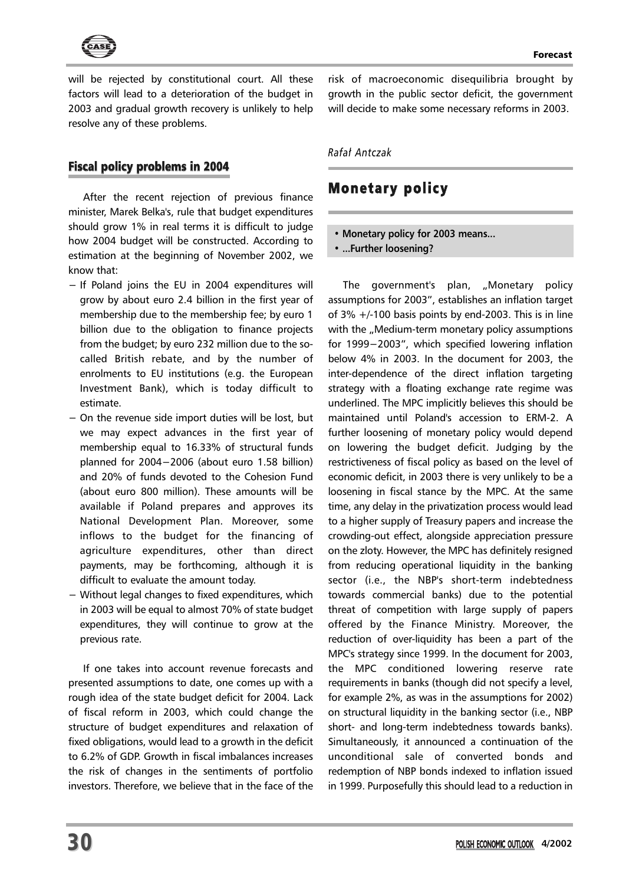

will be rejected by constitutional court. All these factors will lead to a deterioration of the budget in 2003 and gradual growth recovery is unlikely to help resolve any of these problems.

## Fiscal policy problems in 2004

After the recent rejection of previous finance minister, Marek Belka's, rule that budget expenditures should grow 1% in real terms it is difficult to judge how 2004 budget will be constructed. According to estimation at the beginning of November 2002, we know that:

- − If Poland joins the EU in 2004 expenditures will grow by about euro 2.4 billion in the first year of membership due to the membership fee; by euro 1 billion due to the obligation to finance projects from the budget; by euro 232 million due to the socalled British rebate, and by the number of enrolments to EU institutions (e.g. the European Investment Bank), which is today difficult to estimate.
- − On the revenue side import duties will be lost, but we may expect advances in the first year of membership equal to 16.33% of structural funds planned for 2004−2006 (about euro 1.58 billion) and 20% of funds devoted to the Cohesion Fund (about euro 800 million). These amounts will be available if Poland prepares and approves its National Development Plan. Moreover, some inflows to the budget for the financing of agriculture expenditures, other than direct payments, may be forthcoming, although it is difficult to evaluate the amount today.
- − Without legal changes to fixed expenditures, which in 2003 will be equal to almost 70% of state budget expenditures, they will continue to grow at the previous rate.

If one takes into account revenue forecasts and presented assumptions to date, one comes up with a rough idea of the state budget deficit for 2004. Lack of fiscal reform in 2003, which could change the structure of budget expenditures and relaxation of fixed obligations, would lead to a growth in the deficit to 6.2% of GDP. Growth in fiscal imbalances increases the risk of changes in the sentiments of portfolio investors. Therefore, we believe that in the face of the risk of macroeconomic disequilibria brought by growth in the public sector deficit, the government will decide to make some necessary reforms in 2003.

*Rafa³ Antczak*

## Monetary policy

- **Monetary policy for 2003 means...**
- **...Further loosening?**

The government's plan, "Monetary policy assumptions for 2003", establishes an inflation target of  $3\% +/-100$  basis points by end-2003. This is in line with the "Medium-term monetary policy assumptions for 1999−2003", which specified lowering inflation below 4% in 2003. In the document for 2003, the inter-dependence of the direct inflation targeting strategy with a floating exchange rate regime was underlined. The MPC implicitly believes this should be maintained until Poland's accession to ERM-2. A further loosening of monetary policy would depend on lowering the budget deficit. Judging by the restrictiveness of fiscal policy as based on the level of economic deficit, in 2003 there is very unlikely to be a loosening in fiscal stance by the MPC. At the same time, any delay in the privatization process would lead to a higher supply of Treasury papers and increase the crowding-out effect, alongside appreciation pressure on the zloty. However, the MPC has definitely resigned from reducing operational liquidity in the banking sector (i.e., the NBP's short-term indebtedness towards commercial banks) due to the potential threat of competition with large supply of papers offered by the Finance Ministry. Moreover, the reduction of over-liquidity has been a part of the MPC's strategy since 1999. In the document for 2003, the MPC conditioned lowering reserve rate requirements in banks (though did not specify a level, for example 2%, as was in the assumptions for 2002) on structural liquidity in the banking sector (i.e., NBP short- and long-term indebtedness towards banks). Simultaneously, it announced a continuation of the unconditional sale of converted bonds and redemption of NBP bonds indexed to inflation issued in 1999. Purposefully this should lead to a reduction in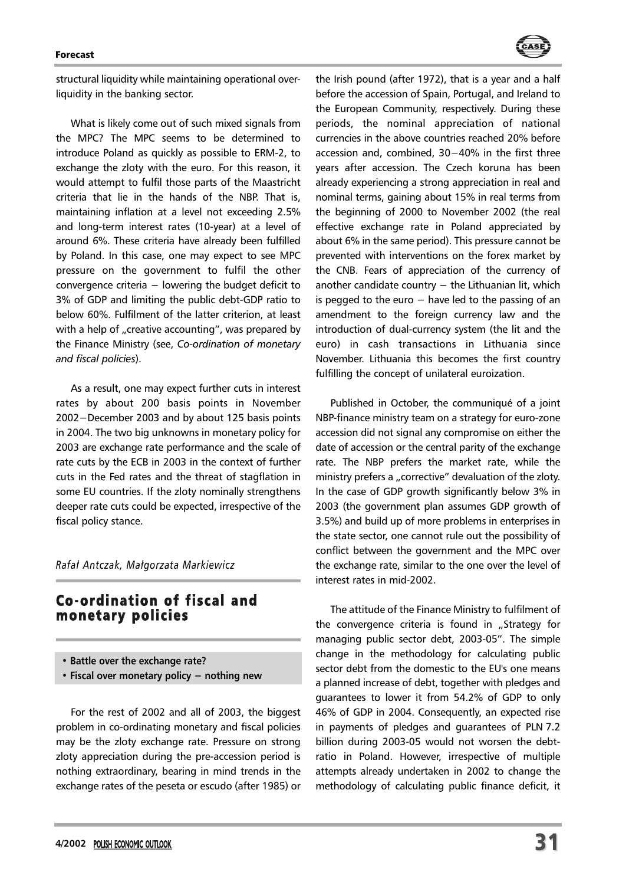#### **Enverset**



What is likely come out of such mixed signals from the MPC? The MPC seems to be determined to introduce Poland as quickly as possible to ERM-2, to exchange the zloty with the euro. For this reason, it would attempt to fulfil those parts of the Maastricht criteria that lie in the hands of the NBP. That is, maintaining inflation at a level not exceeding 2.5% and long-term interest rates (10-year) at a level of around 6%. These criteria have already been fulfilled by Poland. In this case, one may expect to see MPC pressure on the government to fulfil the other convergence criteria − lowering the budget deficit to 3% of GDP and limiting the public debt-GDP ratio to below 60%. Fulfilment of the latter criterion, at least with a help of "creative accounting", was prepared by the Finance Ministry (see, *Co-ordination of monetary and fiscal policies*).

As a result, one may expect further cuts in interest rates by about 200 basis points in November 2002−December 2003 and by about 125 basis points in 2004. The two big unknowns in monetary policy for 2003 are exchange rate performance and the scale of rate cuts by the ECB in 2003 in the context of further cuts in the Fed rates and the threat of stagflation in some EU countries. If the zloty nominally strengthens deeper rate cuts could be expected, irrespective of the fiscal policy stance.

*Rafa³ Antczak, Ma³gorzata Markiewicz*

## Co-ordination of fiscal and monetary policies

- **Battle over the exchange rate?**
- **Fiscal over monetary policy − nothing new**

For the rest of 2002 and all of 2003, the biggest problem in co-ordinating monetary and fiscal policies may be the zloty exchange rate. Pressure on strong zloty appreciation during the pre-accession period is nothing extraordinary, bearing in mind trends in the exchange rates of the peseta or escudo (after 1985) or the Irish pound (after 1972), that is a year and a half before the accession of Spain, Portugal, and Ireland to the European Community, respectively. During these periods, the nominal appreciation of national currencies in the above countries reached 20% before accession and, combined, 30−40% in the first three years after accession. The Czech koruna has been already experiencing a strong appreciation in real and nominal terms, gaining about 15% in real terms from the beginning of 2000 to November 2002 (the real effective exchange rate in Poland appreciated by about 6% in the same period). This pressure cannot be prevented with interventions on the forex market by the CNB. Fears of appreciation of the currency of another candidate country  $-$  the Lithuanian lit, which is pegged to the euro  $-$  have led to the passing of an amendment to the foreign currency law and the introduction of dual-currency system (the lit and the euro) in cash transactions in Lithuania since November. Lithuania this becomes the first country fulfilling the concept of unilateral euroization.

Published in October, the communiqué of a joint NBP-finance ministry team on a strategy for euro-zone accession did not signal any compromise on either the date of accession or the central parity of the exchange rate. The NBP prefers the market rate, while the ministry prefers a "corrective" devaluation of the zloty. In the case of GDP growth significantly below 3% in 2003 (the government plan assumes GDP growth of 3.5%) and build up of more problems in enterprises in the state sector, one cannot rule out the possibility of conflict between the government and the MPC over the exchange rate, similar to the one over the level of interest rates in mid-2002.

The attitude of the Finance Ministry to fulfilment of the convergence criteria is found in "Strategy for managing public sector debt, 2003-05". The simple change in the methodology for calculating public sector debt from the domestic to the EU's one means a planned increase of debt, together with pledges and guarantees to lower it from 54.2% of GDP to only 46% of GDP in 2004. Consequently, an expected rise in payments of pledges and guarantees of PLN 7.2 billion during 2003-05 would not worsen the debtratio in Poland. However, irrespective of multiple attempts already undertaken in 2002 to change the methodology of calculating public finance deficit, it

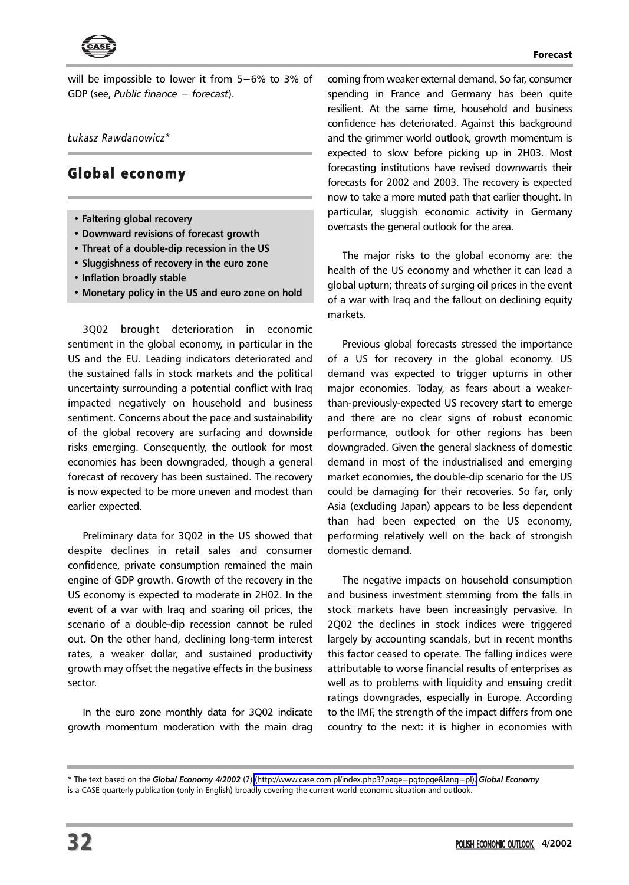

will be impossible to lower it from 5−6% to 3% of GDP (see, *Public finance − forecast*).

*£ukasz Rawdanowicz\**

## Global economy

- **Faltering global recovery**
- **Downward revisions of forecast growth**
- **Threat of a double-dip recession in the US**
- **Sluggishness of recovery in the euro zone**
- **Inflation broadly stable**
- **Monetary policy in the US and euro zone on hold**

3Q02 brought deterioration in economic sentiment in the global economy, in particular in the US and the EU. Leading indicators deteriorated and the sustained falls in stock markets and the political uncertainty surrounding a potential conflict with Iraq impacted negatively on household and business sentiment. Concerns about the pace and sustainability of the global recovery are surfacing and downside risks emerging. Consequently, the outlook for most economies has been downgraded, though a general forecast of recovery has been sustained. The recovery is now expected to be more uneven and modest than earlier expected.

Preliminary data for 3Q02 in the US showed that despite declines in retail sales and consumer confidence, private consumption remained the main engine of GDP growth. Growth of the recovery in the US economy is expected to moderate in 2H02. In the event of a war with Iraq and soaring oil prices, the scenario of a double-dip recession cannot be ruled out. On the other hand, declining long-term interest rates, a weaker dollar, and sustained productivity growth may offset the negative effects in the business sector.

In the euro zone monthly data for 3Q02 indicate growth momentum moderation with the main drag

coming from weaker external demand. So far, consumer spending in France and Germany has been quite resilient. At the same time, household and business confidence has deteriorated. Against this background and the grimmer world outlook, growth momentum is expected to slow before picking up in 2H03. Most forecasting institutions have revised downwards their forecasts for 2002 and 2003. The recovery is expected now to take a more muted path that earlier thought. In particular, sluggish economic activity in Germany overcasts the general outlook for the area.

The major risks to the global economy are: the health of the US economy and whether it can lead a global upturn; threats of surging oil prices in the event of a war with Iraq and the fallout on declining equity markets.

Previous global forecasts stressed the importance of a US for recovery in the global economy. US demand was expected to trigger upturns in other major economies. Today, as fears about a weakerthan-previously-expected US recovery start to emerge and there are no clear signs of robust economic performance, outlook for other regions has been downgraded. Given the general slackness of domestic demand in most of the industrialised and emerging market economies, the double-dip scenario for the US could be damaging for their recoveries. So far, only Asia (excluding Japan) appears to be less dependent than had been expected on the US economy, performing relatively well on the back of strongish domestic demand.

The negative impacts on household consumption and business investment stemming from the falls in stock markets have been increasingly pervasive. In 2Q02 the declines in stock indices were triggered largely by accounting scandals, but in recent months this factor ceased to operate. The falling indices were attributable to worse financial results of enterprises as well as to problems with liquidity and ensuing credit ratings downgrades, especially in Europe. According to the IMF, the strength of the impact differs from one country to the next: it is higher in economies with

<sup>\*</sup> The text based on the *Global Economy 4/2002* (7) [\(http://www.case.com.pl/index.php3?page=pgtopge&lang=pl\).](http://www.case.com.pl/index.php3?page=pgtopge&lang=pl) *Global Economy*

is a CASE quarterly publication (only in English) broadly covering the current world economic situation and outlook.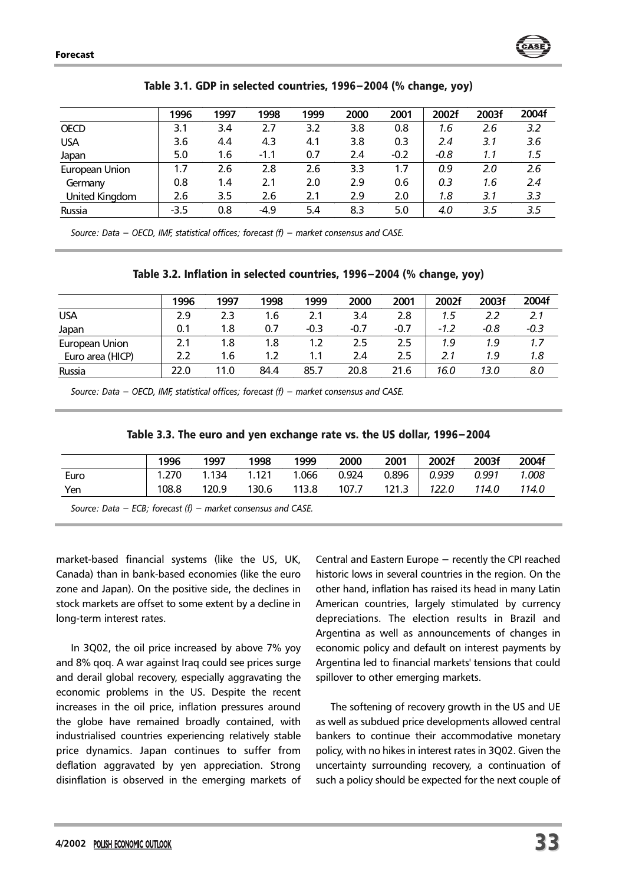

|                | 1996   | 1997 | 1998   | 1999 | 2000 | 2001   | 2002f  | 2003f         | 2004f |
|----------------|--------|------|--------|------|------|--------|--------|---------------|-------|
| <b>OECD</b>    | 3.1    | 3.4  | 2.7    | 3.2  | 3.8  | 0.8    | 1.6    | 2.6           | 3.2   |
| <b>USA</b>     | 3.6    | 4.4  | 4.3    | 4.1  | 3.8  | 0.3    | 2.4    | 3.1           | 3.6   |
| Japan          | 5.0    | 1.6  | $-1.1$ | 0.7  | 2.4  | $-0.2$ | $-0.8$ | 1.1           | 1.5   |
| European Union | 1.7    | 2.6  | 2.8    | 2.6  | 3.3  | 1.7    | 0.9    | $2.0^{\circ}$ | 2.6   |
| Germany        | 0.8    | 1.4  | 2.1    | 2.0  | 2.9  | 0.6    | 0.3    | 1.6           | 2.4   |
| United Kinadom | 2.6    | 3.5  | 2.6    | 2.1  | 2.9  | 2.0    | 1.8    | 3.1           | 3.3   |
| Russia         | $-3.5$ | 0.8  | -4.9   | 5.4  | 8.3  | 5.0    | 4.0    | 3.5           | 3.5   |

| Table 3.1. GDP in selected countries, 1996–2004 (% change, yoy) |  |  |  |  |
|-----------------------------------------------------------------|--|--|--|--|
|-----------------------------------------------------------------|--|--|--|--|

*Source: Data − OECD, IMF, statistical offices; forecast (f) − market consensus and CASE.*

| Table 3.2. Inflation in selected countries, 1996-2004 (% change, yoy) |  |
|-----------------------------------------------------------------------|--|
|-----------------------------------------------------------------------|--|

|                  | 1996 | 1997 | 1998 | 1999   | 2000   | 2001   | 2002f  | 2003f  | 2004f  |
|------------------|------|------|------|--------|--------|--------|--------|--------|--------|
| <b>USA</b>       | 2.9  | 2.3  | 1.6  | 2.1    | 3.4    | 2.8    | 1.5    | 2.2    | 2.1    |
| Japan            | 0.1  | 1.8  | 0.7  | $-0.3$ | $-0.7$ | $-0.7$ | $-1.2$ | $-0.8$ | $-0.3$ |
| European Union   | 2.1  | 1.8  | 1.8  | 1.2    | 2.5    | 2.5    | 1.9    | 1.9    | 1.7    |
| Euro area (HICP) | 2.2  | 1.6  | 1.2  | 1.1    | 2.4    | 2.5    | 2.1    | 1.9    | 1.8    |
| Russia           | 22.0 | 11.0 | 84.4 | 85.7   | 20.8   | 21.6   | 16.0   | 13.0   | 8.0    |

*Source: Data − OECD, IMF, statistical offices; forecast (f) − market consensus and CASE.*

| Table 3.3. The euro and yen exchange rate vs. the US dollar, 1996–2004 |  |  |  |  |  |  |  |  |
|------------------------------------------------------------------------|--|--|--|--|--|--|--|--|
|------------------------------------------------------------------------|--|--|--|--|--|--|--|--|

| 0.924<br>0.896  <br>0.939 0.991<br>1.270<br>1.134 1.121<br>1.066<br>Euro |       |       |
|--------------------------------------------------------------------------|-------|-------|
|                                                                          |       | 1.008 |
| 113.8<br>108.8<br>107.7<br>$121.3$  <br>122.0<br>130.6<br>120.9<br>Yen   | 114.0 | 114.0 |

*Source: Data − ECB; forecast (f) − market consensus and CASE.*

market-based financial systems (like the US, UK, Canada) than in bank-based economies (like the euro zone and Japan). On the positive side, the declines in stock markets are offset to some extent by a decline in long-term interest rates.

In 3Q02, the oil price increased by above 7% yoy and 8% qoq. A war against Iraq could see prices surge and derail global recovery, especially aggravating the economic problems in the US. Despite the recent increases in the oil price, inflation pressures around the globe have remained broadly contained, with industrialised countries experiencing relatively stable price dynamics. Japan continues to suffer from deflation aggravated by yen appreciation. Strong disinflation is observed in the emerging markets of Central and Eastern Europe − recently the CPI reached historic lows in several countries in the region. On the other hand, inflation has raised its head in many Latin American countries, largely stimulated by currency depreciations. The election results in Brazil and Argentina as well as announcements of changes in economic policy and default on interest payments by Argentina led to financial markets' tensions that could spillover to other emerging markets.

The softening of recovery growth in the US and UE as well as subdued price developments allowed central bankers to continue their accommodative monetary policy, with no hikes in interest rates in 3Q02. Given the uncertainty surrounding recovery, a continuation of such a policy should be expected for the next couple of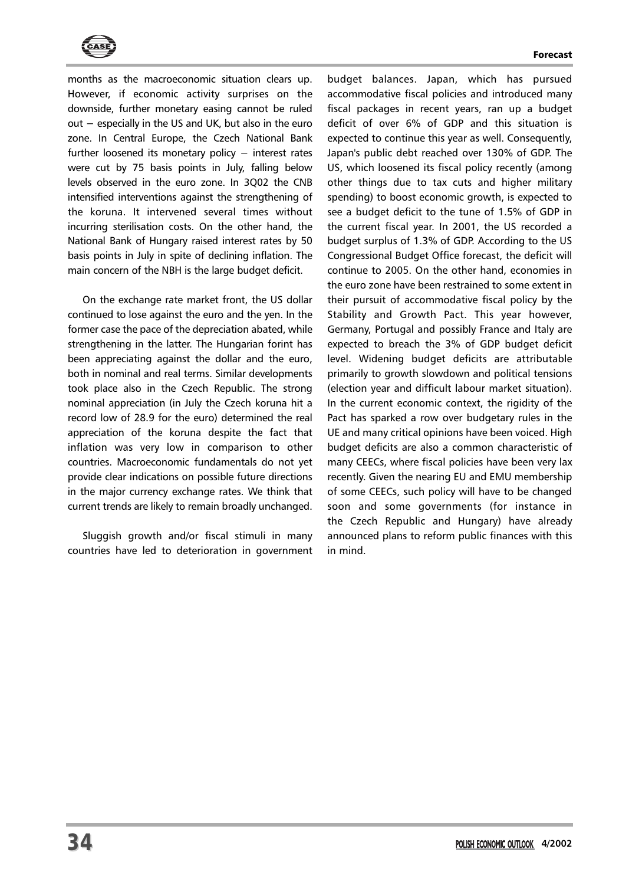



months as the macroeconomic situation clears up. However, if economic activity surprises on the downside, further monetary easing cannot be ruled out − especially in the US and UK, but also in the euro zone. In Central Europe, the Czech National Bank further loosened its monetary policy − interest rates were cut by 75 basis points in July, falling below levels observed in the euro zone. In 3Q02 the CNB intensified interventions against the strengthening of the koruna. It intervened several times without incurring sterilisation costs. On the other hand, the National Bank of Hungary raised interest rates by 50 basis points in July in spite of declining inflation. The main concern of the NBH is the large budget deficit.

On the exchange rate market front, the US dollar continued to lose against the euro and the yen. In the former case the pace of the depreciation abated, while strengthening in the latter. The Hungarian forint has been appreciating against the dollar and the euro, both in nominal and real terms. Similar developments took place also in the Czech Republic. The strong nominal appreciation (in July the Czech koruna hit a record low of 28.9 for the euro) determined the real appreciation of the koruna despite the fact that inflation was very low in comparison to other countries. Macroeconomic fundamentals do not yet provide clear indications on possible future directions in the major currency exchange rates. We think that current trends are likely to remain broadly unchanged.

Sluggish growth and/or fiscal stimuli in many countries have led to deterioration in government budget balances. Japan, which has pursued accommodative fiscal policies and introduced many fiscal packages in recent years, ran up a budget deficit of over 6% of GDP and this situation is expected to continue this year as well. Consequently, Japan's public debt reached over 130% of GDP. The US, which loosened its fiscal policy recently (among other things due to tax cuts and higher military spending) to boost economic growth, is expected to see a budget deficit to the tune of 1.5% of GDP in the current fiscal year. In 2001, the US recorded a budget surplus of 1.3% of GDP. According to the US Congressional Budget Office forecast, the deficit will continue to 2005. On the other hand, economies in the euro zone have been restrained to some extent in their pursuit of accommodative fiscal policy by the Stability and Growth Pact. This year however, Germany, Portugal and possibly France and Italy are expected to breach the 3% of GDP budget deficit level. Widening budget deficits are attributable primarily to growth slowdown and political tensions (election year and difficult labour market situation). In the current economic context, the rigidity of the Pact has sparked a row over budgetary rules in the UE and many critical opinions have been voiced. High budget deficits are also a common characteristic of many CEECs, where fiscal policies have been very lax recently. Given the nearing EU and EMU membership of some CEECs, such policy will have to be changed soon and some governments (for instance in the Czech Republic and Hungary) have already announced plans to reform public finances with this in mind.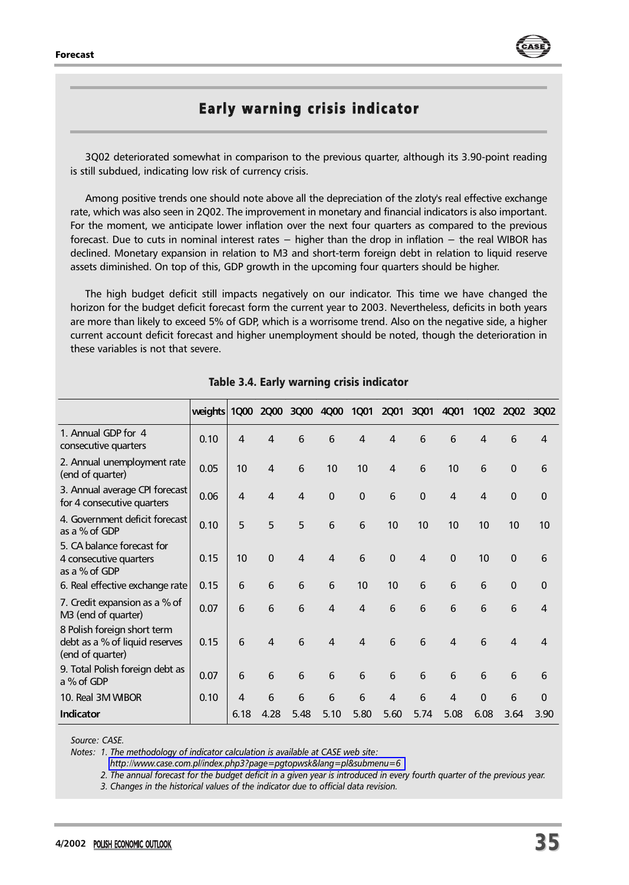

## Early warning crisis indicator

3Q02 deteriorated somewhat in comparison to the previous quarter, although its 3.90-point reading is still subdued, indicating low risk of currency crisis.

Among positive trends one should note above all the depreciation of the zloty's real effective exchange rate, which was also seen in 2Q02. The improvement in monetary and financial indicators is also important. For the moment, we anticipate lower inflation over the next four quarters as compared to the previous forecast. Due to cuts in nominal interest rates − higher than the drop in inflation − the real WIBOR has declined. Monetary expansion in relation to M3 and short-term foreign debt in relation to liquid reserve assets diminished. On top of this, GDP growth in the upcoming four quarters should be higher.

The high budget deficit still impacts negatively on our indicator. This time we have changed the horizon for the budget deficit forecast form the current year to 2003. Nevertheless, deficits in both years are more than likely to exceed 5% of GDP, which is a worrisome trend. Also on the negative side, a higher current account deficit forecast and higher unemployment should be noted, though the deterioration in these variables is not that severe.

|                                                                                   | weights |      | 1Q00 2Q00 | 3Q00           |                  | 4Q00 1Q01      | <b>2Q01</b>    | 3Q01           | 4Q01           |          | 1Q02 2Q02 3Q02 |                       |
|-----------------------------------------------------------------------------------|---------|------|-----------|----------------|------------------|----------------|----------------|----------------|----------------|----------|----------------|-----------------------|
| 1. Annual GDP for 4<br>consecutive quarters                                       | 0.10    | 4    | 4         | 6              | 6                | 4              | 4              | 6              | 6              | 4        | 6              | 4                     |
| 2. Annual unemployment rate<br>(end of quarter)                                   | 0.05    | 10   | 4         | 6              | 10 <sup>10</sup> | 10             | 4              | 6              | 10             | 6        | $\mathbf 0$    | 6                     |
| 3. Annual average CPI forecast<br>for 4 consecutive quarters                      | 0.06    | 4    | 4         | 4              | $\mathbf{0}$     | $\mathbf{0}$   | 6              | $\mathbf{0}$   | $\overline{4}$ | 4        | $\Omega$       | $\Omega$              |
| 4. Government deficit forecast<br>as a % of GDP                                   | 0.10    | 5    | 5         | 5              | 6                | 6              | 10             | 10             | 10             | 10       | 10             | 10                    |
| 5. CA balance forecast for<br>4 consecutive quarters<br>as a % of GDP             | 0.15    | 10   | $\Omega$  | $\overline{4}$ | $\overline{4}$   | 6              | $\Omega$       | $\overline{4}$ | $\Omega$       | 10       | $\mathbf{0}$   | 6                     |
| 6. Real effective exchange rate                                                   | 0.15    | 6    | 6         | 6              | 6                | 10             | 10             | 6              | 6              | 6        | $\Omega$       | $\Omega$              |
| 7. Credit expansion as a % of<br>M3 (end of quarter)                              | 0.07    | 6    | 6         | 6              | $\overline{4}$   | $\overline{4}$ | 6              | 6              | 6              | 6        | 6              | 4                     |
| 8 Polish foreign short term<br>debt as a % of liquid reserves<br>(end of quarter) | 0.15    | 6    | 4         | 6              | $\overline{a}$   | $\overline{4}$ | 6              | 6              | $\overline{a}$ | 6        | $\overline{4}$ | $\boldsymbol{\Delta}$ |
| 9. Total Polish foreign debt as<br>a % of GDP                                     | 0.07    | 6    | 6         | 6              | 6                | 6              | 6              | 6              | 6              | 6        | 6              | 6                     |
| 10. Real 3M WIBOR                                                                 | 0.10    | 4    | 6         | 6              | 6                | 6              | $\overline{4}$ | 6              | $\overline{4}$ | $\Omega$ | 6              | $\Omega$              |
| Indicator                                                                         |         | 6.18 | 4.28      | 5.48           | 5.10             | 5.80           | 5.60           | 5.74           | 5.08           | 6.08     | 3.64           | 3.90                  |

## Table 3.4. Early warning crisis indicator

*Source: CASE.*

*Notes: 1. The methodology of indicator calculation is available at CASE web site:*

*<http://www.case.com.pl/index.php3?page=pgtopwsk&lang=pl&submenu=6>*

*2. The annual forecast for the budget deficit in a given year is introduced in every fourth quarter of the previous year.*

*3. Changes in the historical values of the indicator due to official data revision.*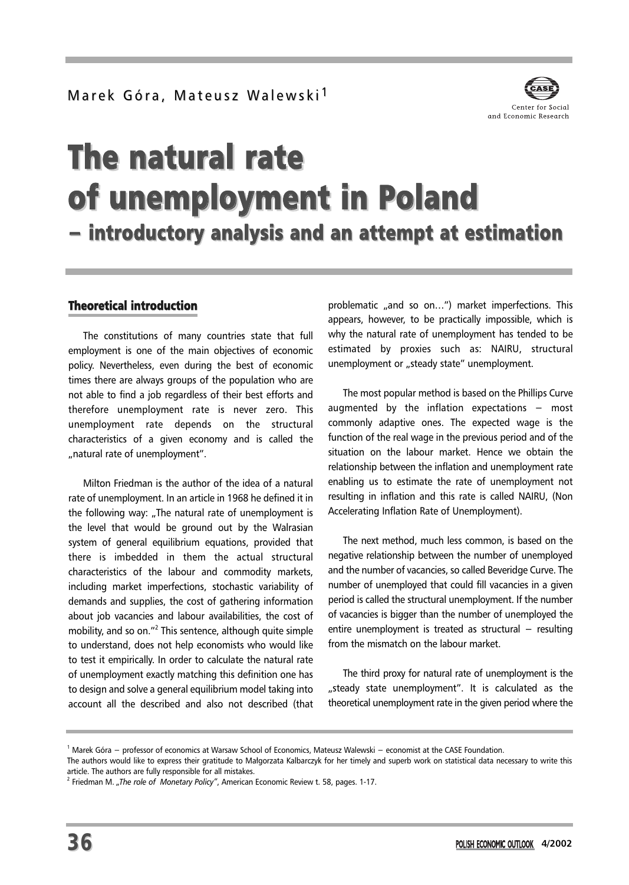

## The natural rate of unemployment in Poland − introductory analysis and an attempt at estimation

## Theoretical introduction

The constitutions of many countries state that full employment is one of the main objectives of economic policy. Nevertheless, even during the best of economic times there are always groups of the population who are not able to find a job regardless of their best efforts and therefore unemployment rate is never zero. This unemployment rate depends on the structural characteristics of a given economy and is called the "natural rate of unemployment".

Milton Friedman is the author of the idea of a natural rate of unemployment. In an article in 1968 he defined it in the following way: "The natural rate of unemployment is the level that would be ground out by the Walrasian system of general equilibrium equations, provided that there is imbedded in them the actual structural characteristics of the labour and commodity markets, including market imperfections, stochastic variability of demands and supplies, the cost of gathering information about job vacancies and labour availabilities, the cost of mobility, and so on."2 This sentence, although quite simple to understand, does not help economists who would like to test it empirically. In order to calculate the natural rate of unemployment exactly matching this definition one has to design and solve a general equilibrium model taking into account all the described and also not described (that problematic "and so on...") market imperfections. This appears, however, to be practically impossible, which is why the natural rate of unemployment has tended to be estimated by proxies such as: NAIRU, structural unemployment or "steady state" unemployment.

The most popular method is based on the Phillips Curve augmented by the inflation expectations − most commonly adaptive ones. The expected wage is the function of the real wage in the previous period and of the situation on the labour market. Hence we obtain the relationship between the inflation and unemployment rate enabling us to estimate the rate of unemployment not resulting in inflation and this rate is called NAIRU, (Non Accelerating Inflation Rate of Unemployment).

The next method, much less common, is based on the negative relationship between the number of unemployed and the number of vacancies, so called Beveridge Curve. The number of unemployed that could fill vacancies in a given period is called the structural unemployment. If the number of vacancies is bigger than the number of unemployed the entire unemployment is treated as structural − resulting from the mismatch on the labour market.

The third proxy for natural rate of unemployment is the "steady state unemployment". It is calculated as the theoretical unemployment rate in the given period where the

The authors would like to express their gratitude to Małgorzata Kalbarczyk for her timely and superb work on statistical data necessary to write this article. The authors are fully responsible for all mistakes.

<sup>1</sup> Marek Góra − professor of economics at Warsaw School of Economics, Mateusz Walewski − economist at the CASE Foundation.

<sup>&</sup>lt;sup>2</sup> Friedman M. "The role of Monetary Policy", American Economic Review t. 58, pages. 1-17.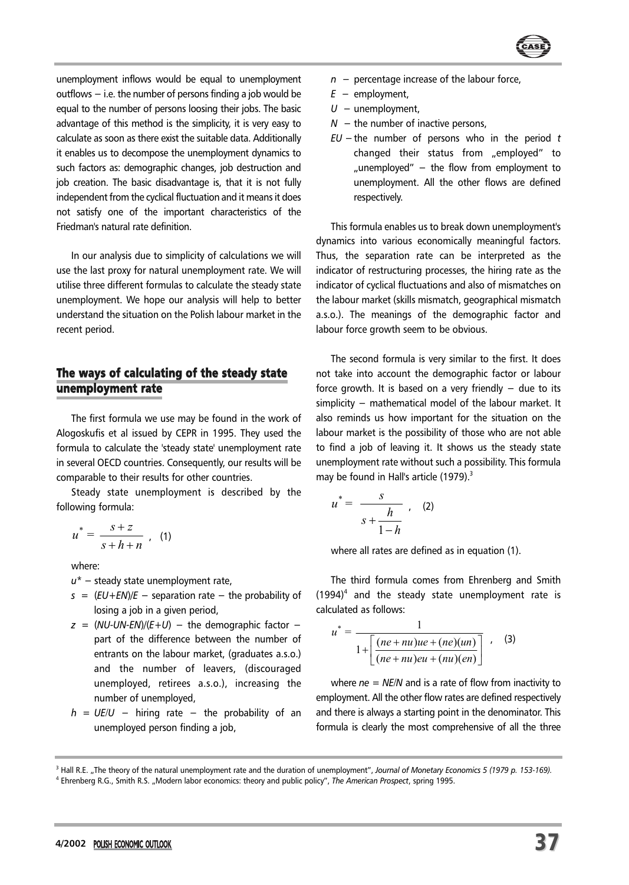

unemployment inflows would be equal to unemployment outflows − i.e. the number of persons finding a job would be equal to the number of persons loosing their jobs. The basic advantage of this method is the simplicity, it is very easy to calculate as soon as there exist the suitable data. Additionally it enables us to decompose the unemployment dynamics to such factors as: demographic changes, job destruction and job creation. The basic disadvantage is, that it is not fully independent from the cyclical fluctuation and it means it does not satisfy one of the important characteristics of the Friedman's natural rate definition.

In our analysis due to simplicity of calculations we will use the last proxy for natural unemployment rate. We will utilise three different formulas to calculate the steady state unemployment. We hope our analysis will help to better understand the situation on the Polish labour market in the recent period.

## The ways of calculating of the steady state unemployment rate

The first formula we use may be found in the work of Alogoskufis et al issued by CEPR in 1995. They used the formula to calculate the 'steady state' unemployment rate in several OECD countries. Consequently, our results will be comparable to their results for other countries.

Steady state unemployment is described by the following formula:

$$
u^* = \frac{s+z}{s+h+n} \quad (1)
$$

where:

- *u\** − steady state unemployment rate,
- *s* = (*EU+EN*)/*E* − separation rate − the probability of losing a job in a given period,
- $z = (NU-UN-EN)/(E+U)$  − the demographic factor − part of the difference between the number of entrants on the labour market, (graduates a.s.o.) and the number of leavers, (discouraged unemployed, retirees a.s.o.), increasing the number of unemployed,
- *h* = *UE/U* − hiring rate − the probability of an unemployed person finding a job,
- *n* − percentage increase of the labour force,
- *E* − employment,
- *U* − unemployment,
- *N* − the number of inactive persons,
- *EU* −the number of persons who in the period *t* changed their status from "employed" to "unemployed" – the flow from employment to unemployment. All the other flows are defined respectively.

This formula enables us to break down unemployment's dynamics into various economically meaningful factors. Thus, the separation rate can be interpreted as the indicator of restructuring processes, the hiring rate as the indicator of cyclical fluctuations and also of mismatches on the labour market (skills mismatch, geographical mismatch a.s.o.). The meanings of the demographic factor and labour force growth seem to be obvious.

The second formula is very similar to the first. It does not take into account the demographic factor or labour force growth. It is based on a very friendly  $-$  due to its simplicity – mathematical model of the labour market. It also reminds us how important for the situation on the labour market is the possibility of those who are not able to find a job of leaving it. It shows us the steady state unemployment rate without such a possibility. This formula may be found in Hall's article (1979).<sup>3</sup>

$$
u^* = \frac{s}{s + \frac{h}{1-h}} \ , \quad (2)
$$

where all rates are defined as in equation (1).

The third formula comes from Ehrenberg and Smith  $(1994)^4$  and the steady state unemployment rate is calculated as follows:

$$
u^* = \frac{1}{1 + \left[ \frac{(ne + nu)ue + (ne)(un)}{(ne + nu)eu + (nu)(en)} \right]} \quad . \quad (3)
$$

where *ne = NE/N* and is a rate of flow from inactivity to employment. All the other flow rates are defined respectively and there is always a starting point in the denominator. This formula is clearly the most comprehensive of all the three

<sup>&</sup>lt;sup>3</sup> Hall R.E. "The theory of the natural unemployment rate and the duration of unemployment", *Journal of Monetary Economics 5 (1979 p. 153-169)*. <sup>4</sup> Ehrenberg R.G., Smith R.S. "Modern labor economics: theory and public policy", *The American Prospect*, spring 1995.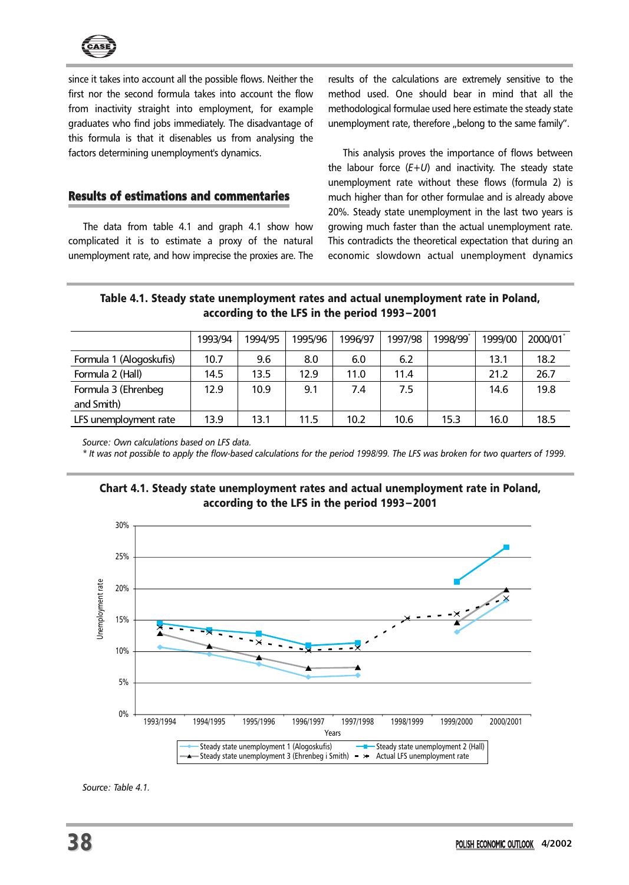

since it takes into account all the possible flows. Neither the first nor the second formula takes into account the flow from inactivity straight into employment, for example graduates who find jobs immediately. The disadvantage of this formula is that it disenables us from analysing the factors determining unemployment's dynamics.

results of the calculations are extremely sensitive to the method used. One should bear in mind that all the methodological formulae used here estimate the steady state unemployment rate, therefore "belong to the same family".

## Results of estimations and commentaries

The data from table 4.1 and graph 4.1 show how complicated it is to estimate a proxy of the natural unemployment rate, and how imprecise the proxies are. The

This analysis proves the importance of flows between the labour force (*E+U*) and inactivity. The steady state unemployment rate without these flows (formula 2) is much higher than for other formulae and is already above 20%. Steady state unemployment in the last two years is growing much faster than the actual unemployment rate. This contradicts the theoretical expectation that during an economic slowdown actual unemployment dynamics

## Table 4.1. Steady state unemployment rates and actual unemployment rate in Poland, according to the LFS in the period 1993−2001

|                         | 1993/94 | 1994/95 | 1995/96 | 1996/97 | 1997/98 | 1998/99 | 1999/00 | 2000/01 |
|-------------------------|---------|---------|---------|---------|---------|---------|---------|---------|
| Formula 1 (Alogoskufis) | 10.7    | 9.6     | 8.0     | 6.0     | 6.2     |         | 13.1    | 18.2    |
| Formula 2 (Hall)        | 14.5    | 13.5    | 12.9    | 11.0    | 11.4    |         | 21.2    | 26.7    |
| Formula 3 (Ehrenbeg     | 12.9    | 10.9    | 9.1     | 7.4     | 7.5     |         | 14.6    | 19.8    |
| and Smith)              |         |         |         |         |         |         |         |         |
| LFS unemployment rate   | 13.9    | 13.1    | 11.5    | 10.2    | 10.6    | 15.3    | 16.0    | 18.5    |

*Source: Own calculations based on LFS data.*

*\* It was not possible to apply the flow-based calculations for the period 1998/99. The LFS was broken for two quarters of 1999.*

## Chart 4.1. Steady state unemployment rates and actual unemployment rate in Poland, according to the LFS in the period 1993−2001



*Source: Table 4.1.*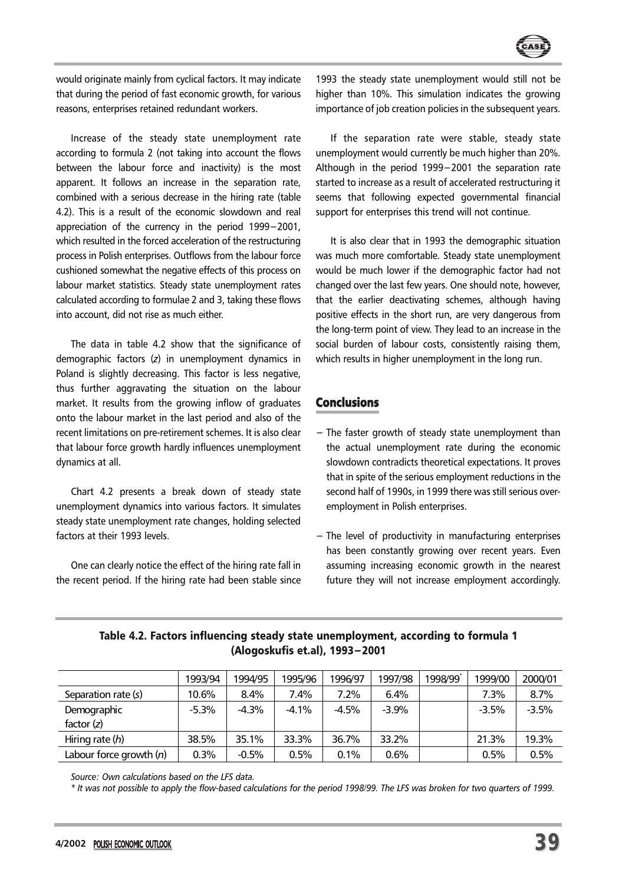

would originate mainly from cyclical factors. It may indicate that during the period of fast economic growth, for various reasons, enterprises retained redundant workers.

Increase of the steady state unemployment rate according to formula 2 (not taking into account the flows between the labour force and inactivity) is the most apparent. It follows an increase in the separation rate, combined with a serious decrease in the hiring rate (table 4.2). This is a result of the economic slowdown and real appreciation of the currency in the period 1999−2001, which resulted in the forced acceleration of the restructuring process in Polish enterprises. Outflows from the labour force cushioned somewhat the negative effects of this process on labour market statistics. Steady state unemployment rates calculated according to formulae 2 and 3, taking these flows into account, did not rise as much either.

The data in table 4.2 show that the significance of demographic factors (*z*) in unemployment dynamics in Poland is slightly decreasing. This factor is less negative, thus further aggravating the situation on the labour market. It results from the growing inflow of graduates onto the labour market in the last period and also of the recent limitations on pre-retirement schemes. It is also clear that labour force growth hardly influences unemployment dynamics at all.

Chart 4.2 presents a break down of steady state unemployment dynamics into various factors. It simulates steady state unemployment rate changes, holding selected factors at their 1993 levels.

One can clearly notice the effect of the hiring rate fall in the recent period. If the hiring rate had been stable since 1993 the steady state unemployment would still not be higher than 10%. This simulation indicates the growing importance of job creation policies in the subsequent years.

If the separation rate were stable, steady state unemployment would currently be much higher than 20%. Although in the period 1999−2001 the separation rate started to increase as a result of accelerated restructuring it seems that following expected governmental financial support for enterprises this trend will not continue.

It is also clear that in 1993 the demographic situation was much more comfortable. Steady state unemployment would be much lower if the demographic factor had not changed over the last few years. One should note, however, that the earlier deactivating schemes, although having positive effects in the short run, are very dangerous from the long-term point of view. They lead to an increase in the social burden of labour costs, consistently raising them, which results in higher unemployment in the long run.

## **Conclusions**

- − The faster growth of steady state unemployment than the actual unemployment rate during the economic slowdown contradicts theoretical expectations. It proves that in spite of the serious employment reductions in the second half of 1990s, in 1999 there was still serious overemployment in Polish enterprises.
- − The level of productivity in manufacturing enterprises has been constantly growing over recent years. Even assuming increasing economic growth in the nearest future they will not increase employment accordingly.

|                           | 1993/94  | 1994/95 | 1995/96 | 1996/97 | 1997/98 | 1998/99 | 1999/00 | 2000/01 |
|---------------------------|----------|---------|---------|---------|---------|---------|---------|---------|
| Separation rate (s)       | 10.6%    | 8.4%    | 7.4%    | 7.2%    | 6.4%    |         | 7.3%    | 8.7%    |
| Demographic               | $-5.3\%$ | $-4.3%$ | $-4.1%$ | $-4.5%$ | $-3.9%$ |         | $-3.5%$ | $-3.5%$ |
| factor $(z)$              |          |         |         |         |         |         |         |         |
| Hiring rate $(h)$         | 38.5%    | 35.1%   | 33.3%   | 36.7%   | 33.2%   |         | 21.3%   | 19.3%   |
| Labour force growth $(n)$ | 0.3%     | $-0.5%$ | 0.5%    | 0.1%    | 0.6%    |         | 0.5%    | 0.5%    |

## Table 4.2. Factors influencing steady state unemployment, according to formula 1 (Alogoskufis et.al), 1993−2001

*Source: Own calculations based on the LFS data.*

*\* It was not possible to apply the flow-based calculations for the period 1998/99. The LFS was broken for two quarters of 1999.*